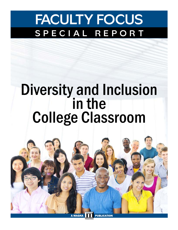## **FACULTY FOCUS SPECIAL REPORT**

# Diversity and Inclusion<br>in the College Classroom

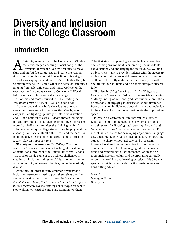### Diversity and Inclusion in the College Classroom

### Introduction

fraternity member from the University of Oklahoma is videotaped chanting a racist song. At the University of Missouri, a slow response to racial slurs and graffiti fueled protests and led to the resignation of top administrators. At Bowie State University, a swastika was spray-painted on the Martin Luther King Jr. Communications Art Center. Other incidents on campuses ranging from Yale University and Ithaca College on the east coast to Claremont McKenna College in California, led to campus protests and calls for change.

All of this and more occurred in 2015, leading the *Washington Post'*s Michael E. Miller to conclude "Whatever you call it, what's clear is that unrest is spreading across American universities. One by one, campuses are lighting up with protests, demonstrations  $and$  — in a handful of cases — death threats, plunging the country into a broader debate about lingering racism more than half a century after the Civil Rights Act."

To be sure, today's college students are helping to shine a spotlight on race, cultural differences, and the need for more inclusive, respectful campuses. It's no surprise that faculty play an important role.

*Diversity and Inclusion in the College Classroom*  features 20 articles from faculty teaching at a wide range of institutions throughout the United States and Canada. The articles tackle some of the trickiest challenges in creating an inclusive and respectful learning environment for a community of learners that is growing increasingly diverse.

Oftentimes, in order to truly embrace diversity and inclusion, instructors need to push themselves and their students outside their comfort zones. In *Overcoming Racial Tension: Using Student Voices to Create Safe Spaces in the Classroom,* Kyesha Jennings encourages readers to stop walking on eggshells and start stomping on them.

"The first step in supporting a more inclusive teaching and learning environment is embracing uncomfortable conversations and challenging the status quo... Walking on [eggshells] fails to provide students with the necessary tools to confront controversial issues, whereas stomping on them will directly address the issues going on with and around our students and help them navigate successfully."

Likewise, in *Using Punk Rock to Invite Dialogues on Diversity and Inclusion*, Carlos P. Hipolito-Delgado writes, "[M]any undergraduate and graduate students [are] afraid or incapable of engaging in discussion about difference. Before engaging in dialogue about diversity and inclusion in the college classroom, one must create the appropriate space."

To create a classroom culture that values diversity, Kentina R. Smith implements inclusive practices that model respect. In *Teaching and Learning "Respect" and "Acceptance" in the Classroom*, she outlines her D.E.E.P. model, which stands for developing appropriate language use, encouraging open and honest dialogue, empowering students to share without ridicule, and processing information shared by reconnecting it to course content.

Whether you need help managing difficult conversations and responding to "hot moments" or creating a more inclusive curriculum and incorporating culturally responsive teaching and learning practices, this 38-page special report is loaded with practical assignments and hard-hitting advice.

Mary Bart Managing Editor *Faculty Focus*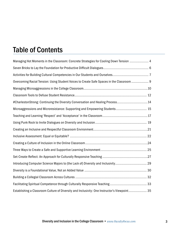### Table of Contents

| Managing Hot Moments in the Classroom: Concrete Strategies for Cooling Down Tension  4       |
|----------------------------------------------------------------------------------------------|
|                                                                                              |
|                                                                                              |
| Overcoming Racial Tension: Using Student Voices to Create Safe Spaces in the Classroom  9    |
|                                                                                              |
|                                                                                              |
| #CharlestonStrong: Continuing the Diversity Conversation and Healing Process14               |
| Microaggressions and Microresistance: Supporting and Empowering Students 15                  |
|                                                                                              |
|                                                                                              |
|                                                                                              |
|                                                                                              |
|                                                                                              |
|                                                                                              |
|                                                                                              |
| Introducing Computer Science Majors to (the Lack of) Diversity and Inclusivity 29            |
|                                                                                              |
|                                                                                              |
|                                                                                              |
| Establishing a Classroom Culture of Diversity and Inclusivity: One Instructor's Viewpoint 35 |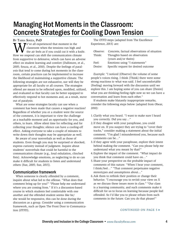### Managing Hot Moments in the Classroom: Concrete Strategies for Cooling Down Tension

By Tasha Souza, PhD

 $\sum_{\text{classroom}}$  when the tensions run high and the air feels as if you could cut it with a How we respond can shift the communication clim classroom when the tensions run high and the air feels as if you could cut it with a knife. How we respond can shift the communication climate from supportive to defensive, which can have an adverse effect on student learning and comfort (Dallimore, et al., 2005; Souza, et al., 2010). Despite the feelings of paralysis that tend to come during hot moments in the classroom, certain practices can be implemented to increase the likelihood of maintaining a supportive climate. The following strategies are not exhaustive, nor will they be appropriate for all faculty or all courses. The strategies offered are meant to be reflected upon, modified, utilized, and evaluated so that faculty can be better equipped to effectively respond to hot moments and, as a result, move out of paralysis.

What are some strategies faculty can use when a comment has been made that causes a negative reaction? Regardless of whether you or a student were the source of the comment, it is important to view the challenge as a teachable moment and an opportunity for you, and others, to learn. Allow silent time for reflecting and for collecting your thoughts; silence can have a cooling-off effect. Asking everyone to take a couple of minutes to write down their thoughts may be appropriate as well.

Be aware of your nonverbals as well as those of students. Even though you may be surprised or shocked, express curiosity instead of judgment. Inquire about students' nonverbals that could be harmful to the communication climate (e.g., loud exhalation, clinched fists). Acknowledge emotions, as neglecting to do so can make it difficult for students to listen and understand others (Sue, 2005; Sue, 2015).

#### Communication framework

When someone is clearly offended by a comment, inquire about what led to the offense. "What does that comment bring up for you?" "Please help me understand where you are coming from." If it's a discussion-based course in which students feel comfortable with one another and the offended student seems like he/ she would be responsive, this can be done during the discussion as a group. Consider using a communication framework, such as Open The Front Door to Communication (OTFD).

The OTFD steps (adapted from The Excellence Experience, 2015) are:

| Observe: | Concrete, factual observations of situation |
|----------|---------------------------------------------|
| Think:   | Thoughts based on observation               |
|          | (yours and/or theirs)                       |
| Feel:    | Emotions using "I statements"               |
| Desire:  | Specific request for desired outcome        |
|          |                                             |

*Example:* "I noticed (Observe) the volume of some people's voices rising. I think (Think) there were some strong reactions to what was said. I feel uncomfortable (Feeling) moving forward with the discussion until we explore this. I am hoping some of you can share (Desire) what you are thinking/feeling right now so we can have a conversation and learn from each other."

If students make blatantly inappropriate remarks, consider the following steps below (adapted from Obear, 2010):

- 1.Clarify what you heard. "I want to make sure I heard you correctly. Did you say…"
- 2.If they disagree with your paraphrase, you could move on. If you suspect they are trying to "cover their tracks," consider making a statement about the initial comment. "I'm glad I misunderstood you, because such comments can be…"
- 3.If they agree with your paraphrase, explore their intent behind making the comment. "Can you please help me understand what you meant by that?"
- 4.Explore the impact of the comment. "What impact do you think that comment could have on…"
- 5.Share your perspective on the probable impact of comments of this nature. "When I hear your comment, I think/feel…" "That comment perpetuates negative stereotypes and assumptions about…"
- 6.Ask them to rethink their position or change their behavior. "I encourage you to revisit your view on X as we discuss these issues more in class." "Our class is a learning community, and such comments make it difficult for us to focus on learning because people feel offended. So I'd like you to please refrain from such comments in the future. Can you do that please?"

#### CONTINUED ON PAGE 5  $\rightarrow$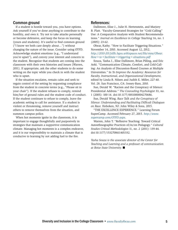#### Common ground

If a student is hostile toward you, you have options. Ask yourself if you've done anything to contribute to the hostility, and own it. Try not to take attacks personally or become defensive, and keep the focus on learning (yours and students). It's useful to find common ground ("I know we both care deeply about…") without changing the nature of the issue. Consider using OTFD. Acknowledge student emotions (e.g., "I understand you're upset"), and convey your interest and concern to the student. Recognize that students are coming into the classroom with their own histories and issues (Warren, 2011). If appropriate, ask the other students to do some writing on the topic while you check in with the student who is upset.

If the situation escalates, remain calm and seek to regain control of the setting by requesting compliance from the student in concrete terms (e.g., "Please sit in your chair"). If the student refuses to comply, remind him/her of ground rules and the student code of conduct. If the student continues to refuse to comply, leave the academic setting to call for assistance. If a student is violent or threatening, remove yourself and instruct others to remove themselves from the situation, and summon campus police.

When hot moments ignite in the classroom, it is important to engage thoughtfully and purposively in strategies that maintain a supportive communication climate. Managing hot moments is a complex endeavor, and it is our responsibility to maintain a climate that is conducive to learning by not adding fuel to the fire.

#### References:

Dallimore, Elise J., Julie H. Hertenstein, and Marjory B. Platt. "Faculty-Generated Strategies for "Cold Calling" Use: A Comparative Analysis with Student Recommendations." *Journal on Excellence in College Teaching* 16, no. 1 (2005): 23-62.

Obear, Kathy. "How to Facilitate Triggering Situations." November 14, 2010. Accessed August 12, 2012. *[http://2010-2012slflc.bgsu.wikispaces.net/file/view/Obear.](http://www.facultyfocus.com/articles/teaching-professor-blog/creating-respectful-classroom-environment/) [How](http://www.facultyfocus.com/articles/teaching-professor-blog/creating-respectful-classroom-environment/)+to+facilitate+triggering+situations.pdf*

Souza, Tasha J., Elise Dallimore, Brian Pilling, and Eric Aoki. "Communication Climate, Comfort, and Cold-Calling: An Analysis of Discussion-Based Courses at Multiple Universities." In *To Improve the Academy: Resources for Faculty, Instructional, and Organizational Development,* edited by Linda B. Nilsen and Judith E. Miller, 227-40. Vol. 28. San Francisco, CA: Jossey-Bass, 2010.

Sue, Derald W. "Racism and the Conspiracy of Silence: Presidential Address." *The Counseling Psychologist* 33, no. 1 (2005): 100-14. doi:10.1177/0011000004270686.

Sue, Derald Wing. *Race Talk and the Conspiracy of Silence: Understanding and Facilitating Difficult Dialogues on Race.* Hoboken, NJ: John Wiley & Sons, 2015.

"THE EXCELLENCE EXPERIENCE." Learning Forum SuperCamp. Accessed February 27, 2015. *[http://www.](http://www.supercamp.com/OTFD.aspx) [supercamp.com/OTFD.aspx](http://www.supercamp.com/OTFD.aspx).*

Warren, John T. "Reflexive Teaching: Toward Critical Autoethnographic Practices of/in/on Pedagogy." *Cultural Studies Critical Methodologies* 11, no. 2 (2011): 139-44. doi:10.1177/1532708611401332.

*Tasha Souza is the associate director of the Center for Teaching and Learning and a professor of communication at Boise State University.* n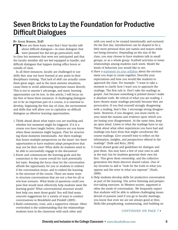### Seven Bricks to Lay the Foundation for Productive Difficult Dialogues

#### By Annie Soisson, EdD

There are three basic ways that I hear faculty talk<br>about difficult dialogues—in-class dialogues that<br>were planned but did not go particularly well;<br>in-class bot moments that were not anticipated and that about difficult dialogues—in-class dialogues that were planned but did not go particularly well; in-class hot moments that were not anticipated and that the faculty member did not feel equipped to handle; and difficult dialogues that happen during office hours or outside of class.

In all three instances, faculty are challenged to use skills they may not have learned at any point in their disciplinary training. That lack of skill can actually cause them great angst, and in the most extreme situations, cause them to avoid addressing important issues directly. This is not to anyone's advantage, and many learning opportunities can be lost. In this article, I will focus on the first of these three instances. If challenging dialogues are to be an important part of a course, it is essential to develop, beginning the first day of class, the environment and skills that will allow you to capitalize on difficult dialogues as effective learning opportunities.

- 1.Think ahead about what topics you are teaching and whether hot moments might be triggered. If it is a course you have taught before, chances are you know when these moments might happen. Plan for structuring those moments intentionally. Are there readings that honor multiple perspectives on the issue? Are there opportunities to have students adopt perspectives that may not be their own? What skills do students need to be able to successfully engage in the discussion?
- 2.Know and communicate the learning goals and the connection to the course overall for each potentially hot topic. Keeping the focus clear for the conversation affords the opportunity for you or students to redirect if the conversation strays, and to embed the learning in the structure of the course. There are many ways to structure conversations that are not a free-for-all or win-lose scenario. What kinds of questions could you pose that would most effectively help students meet the learning goals? What conversational structure would best help you meet those goals? You will find many concrete suggestions for a variety of ways to conduct conversations in Brookfield and Preskill (2005).
- 3.Build community, trust, and a supportive climate. Often overlooked is the understanding that the relationships students have in the classroom with each other and

with you need to be created intentionally and nurtured. On the first day, introductions can be shaped to be a little more personal than just names and majors while not being intrusive. Depending on the size of the class, you may choose to have students talk in small groups, or as a whole group. Scaffold activities to foster relationships among students each week. Model the kinds of behaviors you would like to see.

- 4.Have a [statement on your syllabus](http://www.facultyfocus.com/articles/teaching-professor-blog/creating-respectful-classroom-environment/) about the environment you hope to create together. Describe your expectations and how you would like students to approach the class. For example: "I want to take a moment to clarify how I want you to approach the readings. The first rule is: Don't take the readings as gospel. Just because something is printed doesn't make it absolute truth. Be critical of what you are reading. I have chosen many readings precisely because they are provocative. If you find yourself strongly disagreeing with a reading, that's fine. I encourage strong disagreement. However, if you disagree, you must clarify in your mind the reasons and evidence upon which you are basing your disagreement. At the same time, keep an open mind. Listen to what the readings have to say. Think about what other experiences you have had and readings you have done that might corroborate the course readings. Give yourself time to reflect on the information, insights, and perspectives offered in the readings" (Sulk and Keys, 2014).
- 5.Create shared goals and guidelines for dialogue and post them. You may have a few of your own to add at the end, but let students generate their own list first. This gives them ownership, and the collective generation lets them discover shared values. One of my favorites to add is "look for the truth in what you oppose and the error in what you espouse" (Nash, 2008).
- 6.Help students develop skills for productive conversation as part of the learning. Use active listening and perspective-taking exercises. In Western society, argument is often the mode of conversation. We frequently expect that students will be able to address challenging issues devoid of passion (and if you go to faculty meetings, you know that even we are not always good at this). Skills like paraphrasing, summarizing, and building on

#### CONTINUED ON PAGE 7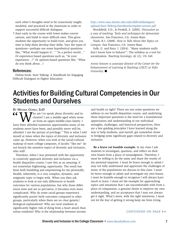each other's thoughts need to be consciously taught, modeled, and practiced in the classroom in order to support successful difficult dialogues.

7.Start early in the course with lower-stakes conversations, and build to more difficult ones. This gives students the opportunity to build trust, and gives you time to help them develop their skills. Vary the types of questions—perhaps use some hypothetical questions like, "What would happen if…" "In a perfect world…" Or experience-based questions such as, "In your experience…?" Or opinion-based questions like, "What do you think about…?

#### References:

Online book: Start Talking: A Handbook for Engaging Difficult Dialogues in Higher Education

#### *[http://www.uaa.alaska.edu/cafe/difficultdialogues/](http://www.uaa.alaska.edu/cafe/difficultdialogues/upload/Start-Talking-Handbookcomplete-version.pdf) [upload/Start-Talking-Handbookcomplete-version.pdf](http://www.uaa.alaska.edu/cafe/difficultdialogues/upload/Start-Talking-Handbookcomplete-version.pdf)*

Brookfield, S.D., & Preskill, S. (2005). *Discussion as a way of teaching: Tools and techniques for democratic classrooms.* San Francisco, CA: Jossey-Bass.

Nash, R.J. (2008). *How to Talk About Hot Topics on Campus*. San Francisco, CA: Jossey-Bass.

Sulk, G. and Keys, J. (2014). "Many students really don't know how to behave!": The syllabus as a tool for socialization. *Teaching Sociology*, 42 (2), 151-160.

*Annie Soisson is associate director of the Center for the Enhancement of Learning & Teaching (CELT) at Tufts University.* ■

### Activities for Building Cultural Competencies in Our Students and Ourselves

By Melissa Gomez, EdD

 $\mathbf{C} \mathbf{C} \mathbf{Y} \mathbf{X}$  Tho am I to speak about diversity and inclusion? I am a middle-aged white woman from an upper-middle-class family. I have been afforded numerous opportunities many of my students never have been, and possibly never will be, afforded. I am the picture of privilege." This is what I told myself at times when the topics of diversity and inclusion came up. However, when you look at the racial/cultural makeup of most college campuses, if faculty "like me" do not broach the sensitive topics of diversity and inclusion, who will?

Therefore, when I was presented with the opportunity to creatively approach diversity and inclusion via a health disparities course, I saw this as an amazing, if not somewhat frightening, opportunity. The result has been both humbling and empowering for me personally. Health, inherently, is a very complex, dynamic, and enigmatic topic to begin with. When you then ask students to look at not only differences in health outcomes for various populations, but why those differences exist and are so pervasive, it becomes even more complicated. Why do some racial groups experience significantly poorer birth outcomes compared to other groups, particularly when there are no clear genetic/ biological explanations? Why are rural residents at significantly higher risk of dying from a heart attack than urban residents? Why is the relationship between income and health so tight? These are just some questions we address in our health disparities course, and underlying these important questions is the need for a foundational appreciation and understanding of our individual strengths, challenges, and historical perspectives. Here are a few guiding principles I have learned along the way to help students, and myself, get somewhat closer to bridging some significant gaps related to diversity and inclusion.

**Be a brave yet humble example.** In my class I ask students to investigate, question, and reflect on their own biases from a place of nonjudgment. Therefore, I must be willing to do the same and share the results of my personal inquiries. I must be brave enough to admit I may not fully understand and appreciate the challenges of many of the populations we discuss in this class. I must be brave enough to admit and investigate my own biases. I must be humble enough to recognize I will always have much to learn. I must set the example for approaching topics and situations that I am uncomfortable with from a place of compassion, a genuine desire to improve my own understanding, and an acceptance that I may not always get it right. What's more, with the right intentions, I must not let the fear of getting it wrong keep me from trying.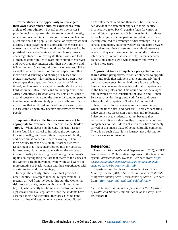**Provide students the opportunity to investigate their own biases and/or cultural experiences from a place of nonjudgment.** Several times a semester I provide in-class opportunities for students to sit quietly, reflect, and respond in a private journal to some leading questions about the population, topic, or disparity we will discuss. I encourage them to approach the exercise as a witness, not a judge. They should not feel the need to be punished for acknowledging their own biases. Instead I encourage students to investigate their biases and look at them as opportunities to learn more about themselves and ways they may interact with their environment and fellow humans. Once ground rules have been established, as well as an environment of mutual respect, we often move on to discussing and sharing our biases and typical stereotypes. This includes breaking down those stereotypes that appear on the surface as well-intentioned, such as Asians are good at math, Mexicans are hard workers, Native Americans are very spiritual, and African-Americans are good athletes. This often leads to great discussions regarding the danger of lumping people together even with seemingly positive attributes. It is also interesting that rarely, when I lead this discussion, can a class come up with any positive stereotypes for white people.

**Emphasize that a collective response may not be appropriate for everyone identified with a particular "group."** When discussing diversity/inclusion issues, I have found it is critical to introduce the concept of intersectionality, and how different aspects of identity and discrimination can intersect or overlap. There is an activity from the Australian Attorney General's Department that I have incorporated into my courses. It introduces, via an interactive activity, the concept of intersectionality (which originated during the women's rights era, highlighting the fact that many of the voices of the women's rights movement were white and were not representative of black women and their experiences with discrimination and disadvantage).

To begin the activity, students are first provided a new "identity." Examples include: refugee woman, 35, recently arrived from the Congo through the women-atrisk program; male, doctor, with two children; young boy, 14, who recently left home after confrontation with a physically abusive step-father. Once the students have assumed their new identities, they are asked to stand even in a line while statements are read aloud. Based

on the statements read and their identities, students can decide if the statement applies to their identity in a negative (step back), positive (step forward), or neutral (stay in place) way. It is interesting for students to see how quickly some parts of an individual's social identity can lead to advantage or disadvantage. In just several statements, students visibly see the gaps between themselves and their classmates' new identities—very rarely do they ever meet again in the middle. I view our job as faculty, in part, as one to help students become responsible citizens who will somehow find ways to bridge these gaps.

**Approach it from a competency perspective rather than a deficit perspective.** Introduce students to opportunities and tools that will help them continuously build cultural competency. In my field there is an excellent, free online course on developing cultural competencies in the health professions. This online course, developed and delivered by the Department of Health and Human Services, provides the groundwork for us to discuss what cultural competency "looks like" in our field of health care. Students engage in the course online, which includes a pre- and post-test. There are scenarios, video vignettes, discussion questions, and reflections. I also point out to students that just because they earned a certificate indicating they completed a cultural competency course, it does not mean they have suddenly arrived at this magic place of being culturally competent. There is no such place; it is a journey, not a destination, and one we are on together.

#### References:

Australian Attorney-General Department, (2010), AVERT family violence: Collaborative responses in the family law system. *Intersectionality Exercise.* Retrieved from: *[http://](http://www.avertfamilyviolence.com.au/wp-content/uploads/sites/4/2013/06/Intersectionality.pdf) [www.avertfamilyviolence.com.au/wp-content/uploads/](http://www.avertfamilyviolence.com.au/wp-content/uploads/sites/4/2013/06/Intersectionality.pdf) [sites/4/2013/06/Intersectionality.pdf](http://www.avertfamilyviolence.com.au/wp-content/uploads/sites/4/2013/06/Intersectionality.pdf)* 

Department of Health and Human Services, Office of Minority Health, (2016), *Think cultural health: Culturally competent nursing care: A cornerstone of caring*. Retrieved from: *<https://ccnm.thinkculturalhealth.hhs.gov>/*

*Melissa Gomez is an associate professor in the Department of Health and Human Performance at Austin Peay State University.* ■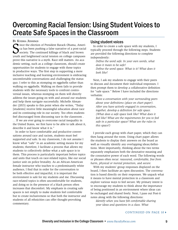### Overcoming Racial Tension: Using Student Voices to Create Safe Spaces in the Classroom

By Kyesha Jennings

Since the election of President Barack Obama, Americal can has been pushing a false narrative of a post-racial society. The continued killings of black and brown youth and heightened racial tension on college campuses ince the election of President Barack Obama, America has been pushing a false narrative of a post-racial society. The continued killings of black and brown prove this narrative is a myth. Race still matters. An academic setting, such as a college classroom, should create opportunities for students to engage with these topics in productive ways. The first step in supporting a more inclusive teaching and learning environment is embracing uncomfortable conversations and challenging the status quo. I refer to this as stomping on eggshells rather than walking on eggshells. Walking on them fails to provide students with the necessary tools to confront controversial issues, whereas stomping on them will directly address the issues going on with and around our students and help them navigate successfully. Michelle Alexander (2015) speaks to this point when she writes, "Today [students] receive little meaningful education about race and its continuing role in our society. Too often students feel discouraged from discussing race in the classroom . . . If we are ever going to overcome racial inequality in the United States, we first have to be able to talk about it, describe it and know what it is."

In order to have comfortable and productive conversations around race and racism, students must feel supported *and* safe. In my classroom, I do not assume I know what "safe" in an academic setting means for my students; therefore, I facilitate a process that allows my students to collectively define what a safe space is to them. This process is particularly important before topics and units that touch on race-related topics, like our social justice unit on police brutality. As an African-American female instructor who teaches to a predominantly white audience, I find that in order for the conversation to be both effective and impactful, it is important the environment is safe for my students and me. Discussing race-related topics is often uncomfortable for students, and doing so in the presence of a black person often increases that discomfort. My emphasis in creating safe spaces is not simply to make students feel comfortable but to create inclusiveness so that both the instructor and students of all ethnicities can offer thought-provoking commentary.

#### Using student voices

In order to create a safe space with my students, I typically proceed through the following steps. Students are provided the following directions to complete independently:

*Define the word safe. In your own words, what does it mean to be safe? Define the word space. What is it? What does it look like?*

Next, I ask my students to engage with their peers to discuss and document their individual responses. I then prompt them to develop a collaborative definition for "safe space." Below I have included the directions verbatim:

*Have a conversation with your surrounding peers about your definitions (place on chart paper). After you have actively engaged in conversation, together, develop a definition for safe space. (What does a safe space look like? What does it feel like? What are the requirements for you to feel safe in a particular space? What are the rules in this space?)* 

I provide each group with chart paper, which they can then hang around the room. Using chart paper allows the students to display their answers on the board as well as visually identify any overlapping ideas/definitions. More importantly, thinking about the two terms separately emphasizes both the denotative meaning and the connotative power of each word. The following words or phrases often recur: *reassured, comfortable, free from harm, physical or mental protection,* and *secure.*

With my students' group responses displayed on the board, I then facilitate an open discussion. The conversation is based directly on their responses. We unpack what it means to have mental protection in a classroom and explore various ways to feel secure. My primary intent is to encourage my students to think about the importance of being positioned in an environment where ideas can be exchanged and shared freely. Next, I pass out Post-it notes along with the following directions:

*Identify when you have felt comfortable sharing your ideas and questions in a class. What* 

#### CONTINUED ON PAGE 10  $\rightarrow$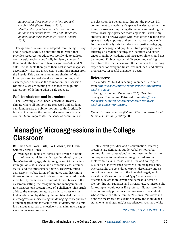*happened in those moments to help you feel comfortable? (Facing History, 2015) Identify when you have had ideas or questions but have not shared them. Why not? What was happening at those moments? (Facing History, 2015)*

The questions above were adopted from Facing History and Ourselves (2015), a nonprofit organization that provides resources for educators worldwide to address controversial topics, specifically in history courses. I then divide the board into two categories—Safe and Not Safe. The students then place their Post-it note responses accordingly. They are instructed to omit their names from the Post-it. This permits anonymous sharing of ideas. I then proceed to read aloud various responses, and each response serves as the foundation for discussion. Ultimately, we are creating safe spaces through our exploration of defining what a safe space is.

#### Safe for students and instructors

The "Creating a Safe Space" activity cultivates a climate where all opinions are respected and students can demonstrate the ability not only to think critically, but also to connect the content discussed to a broader context. More importantly, the sense of community in

the classroom is strengthened through the process. My commitment to creating safe spaces has decreased tension in my classrooms, improving discussions and making the overall learning experience more enjoyable—even if my students don't always agree with each other. Creating safe spaces directly supports and engages various pedagogies. For me specifically this includes social justice pedagogy, hip-hop pedagogy, and popular culture pedagogy. When entering an academic setting, the identities and experiences brought by students and instructor alike should not be ignored. Embracing such differences and seeking to learn from the uniqueness we offer enhances the learning experience for everyone (instructor included) and allows progressive, respectful dialogue to occur.

#### References:

Alexander, M. (2015) Teaching Tolerance. Retrieved from *[http://www.tolerance.org/supplement/introduction](http://www.tolerance.org/supplement/introduction-teacher-s-guide)teacher-s-guide* 

Facing History and Ourselves (2015). Teaching Strategies: Contracting. Retrieved from *[https://www.](https://www.facinghistory.org/for-educators/educator-resources/teaching-strategy/contracting) [facinghistory.org/for-educators/educator-resources/](https://www.facinghistory.org/for-educators/educator-resources/teaching-strategy/contracting) [teaching-strategy/contracting](https://www.facinghistory.org/for-educators/educator-resources/teaching-strategy/contracting)*

*Kyesha Jennings is an English and literature instructor at Danville Community College.* ■

### Managing Microaggressions in the College Classroom

#### By Gayle Mallinger, PhD, Jay Gabbard, PhD, and Saundra Starks, EdD

Ollege students are increasingly diverse in terms<br>of race, ethnicity, gender, gender identity, sexual<br>orientation, age, ability, religious/spiritual beliefs<br>immigration status, social and economic class, veterans of race, ethnicity, gender, gender identity, sexual orientation, age, ability, religious/spiritual beliefs, immigration status, social and economic class, veterans' status, and the intersections therein. However, microaggressions—subtle forms of prejudice and discrimination—continue to occur inside our classrooms. Although most faculty members are mindful of overt biases in the classroom setting, the recognition and management of microaggressions present more of a challenge. This article adds to the nascent literature on microaggressions in higher education by defining the multifaceted nature of microaggressions, discussing the damaging consequences of microaggressions for faculty and students, and examining various methods of effectively managing microaggressions in college classrooms.

Unlike overt prejudice and discrimination, microaggressions are defined as subtle verbal or nonverbal communications, intentional or not, resulting in harmful consequences to members of marginalized groups (Solorzano, Ceja, & Yosso, 2000). Sue and colleagues (2007) discuss three specific types of microaggressions. Microassaults are considered explicit derogatory attacks consciously meant to harm the intended target, such as a student's use of the word "gay" as a pejorative. Microinsults are more covert and demean a person's identity through rudeness and insensitivity. A microinsult, for example, would occur if a professor did not take the time to properly pronounce the first name of a student whose ethnicity differs from her/his own. Microinvalidations are messages that exclude or deny the individual's statements, feelings, and/or experiences, such as a white

#### CONTINUED ON PAGE 11  $\rightarrow$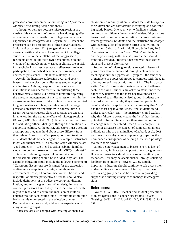professor's pronouncement about living in a "post-racial America" or claiming "color-blindness."

Although or perhaps because microaggressions are elusive, this vague form of prejudice has damaging effects on students. Nearly one-third of college students have experienced microaggressions (Boysen, 2012). Peers and professors can be perpetrators of these covert attacks. Smith and associates (2011) suggest that microaggressions create a hostile and stressful environment for college students. Due to the subtleties of microaggressions, recipients often doubt their own perceptions. Student victims of an unwelcoming classroom climate are at risk for psychological stress, decreased self-esteem, reduced participation, diminished academic performance, and decreased persistence (Hotchkins & Dancy, 2015).

Overall, the literature addressing overt and covert biases in college classrooms discusses student coping mechanisms. Although support from faculty and institutions is considered essential in buffering these negative effects, there is a dearth of literature regarding the effective management of microaggressions within the classroom environment. While professors may be tempted to ignore instances of bias, identification of microaggressions presents an opportunity to address difficult issues. Research suggests class discussions are effective in ameliorating the negative effects of microaggressions (Boysen, 2012; Sue, et al., 2011). Faculty can set the stage for facilitating difficult dialogues through the creation of a supportive culture. At the outset, educators must question assumptions they may hold about those different from themselves. Biases that affect perceptions and treatment of students should be challenged. For example, instructors might ask themselves, "Do I assume Asian-Americans are 'good students?'" "Do I tend to ask a lesbian-identified student to be the spokeswoman for all LGBTQ students?"

Statements defining respectful communication within the classroom setting should be included in syllabi. For example, educators could include the following statement: "Classroom discussions are designed for the expression of divergent viewpoints in a safe, nonjudgmental environment. Thus, all communication will be civil and respectful of diverse perspectives." Syllabi should also include definitions of prejudice, stereotyping, discrimination, and microaggressions. When designing course content, professors have a duty to vet the resources with regard to bias and to ensure the inclusion of multiple perspectives for each course topic. Are authors of multiple backgrounds represented in the selection of materials? Do the videos appropriately address the experiences of marginalized groups?

classroom community where students feel safe to express their views and are comfortable identifying and confronting subtle biases. One such way to facilitate student comfort is to initiate a "word watch"—identifying various terms used in common conversation that are considered microaggressions. Students and the instructor are charged with keeping a list of pejorative terms used within the classroom (Gabbard, Starks, Mallinger, & Luckett, 2013). The instructor first writes "Word Watch" on the board and begins listing, with the class, words that should be mindfully avoided. Students then analyze these expressions and present alternatives.

Recognition of microaggressions related to issues of power may also be enhanced through a class exercise teaching about the Oppression Olympics—the tendency of members of oppressed groups to compete with those in other oppressed groups (Martinez, 1994). The instructor writes "isms" on separate sheets of paper and adheres each to the wall. Students are asked to stand under the paper they believe has the most negative impact on members of each disenfranchised group. Students are then asked to discuss why they chose that particular "ism" and select a spokesperson to argue why that "ism" has the most negative influence. If no students stand under a particular "ism," the instructor should explain why this failure to acknowledge the "ism" has the most potential to harm. Students are then given an option to change where they stand. Once this is complete, the instructor discusses the concept of competition among individuals who are marginalized (Gabbard, et al., 2013) and how this rivalry among oppressed groups has the unintended consequence of helping those with privilege maintain their power.

Simple acknowledgement of biases is key, as lack of response may indicate tacit support of microaggressions. However, instructors should also assess the efficacy of responses. This may be accomplished through soliciting feedback from students (Boysen, 2012). Equally important, educators should continue to self-assess their understanding and awareness. A faculty consciousness-raising group can also be effective in providing support and sharing strategies to manage microaggressions.

#### References:

Boysen, G. A. (2012). Teacher and student perceptions of microaggressions in college classrooms. *College Teaching,* 60(3), 122-129. doi:10.1080/87567555.2012.654 831

Professors are also charged with creating an inclusive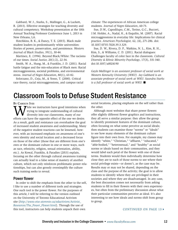Gabbard, W. J., Starks, S., Mallinger, G., & Luckett, R. (2013). Effective strategies for teaching diversity and cultural competency. Workshop presentation at the 10th Annual Teaching Professor Conference June 1, 2013 in New Orleans, LA.

Hotchkins, B. K., & Dancy, T. E. (2015). Black male student leaders in predominantly white universities: Stories of power, preservation, and persistence. *Western Journal of Black Studies*, 39(1), 30-44.

Martinez, E. (1994). Beyond Black/White: The racisms of our times. *Social Justice,* 20(1/2), 22-34.

Smith, W. A., Hung, M., & Franklin, J. D. (2011). Racial battle fatigue and the mis-education of Black men: Racial microaggressions, societal problems, and environmental stress. *Journal of Negro Education*, 80(1), 63-82.

Solorzano, D., Ceja, M., & Yosso, T. (2000). Critical race theory, racial microaggressions, and campus racial

climate: The experiences of African American college students. *Journal of Negro Education*, 60-73.

Sue, D.W., Capodilupo, C.M., Torino, G.C., Bucceri, J.M. Holder, A., Nadal, K., & Esquilin, M. (2007). Racial microaggressions in everyday life: Implications for clinical practice. *American Psychologist,* 62, (4), 271-286. doi: 10.1037/0735-7028.39.3.329.

Sue, D. W., Rivera, D. P., Watkins, N. L., Kim, R. H., Kim, S., & Williams, C. D. (2011). Racial dialogues: Challenges faculty of color face in the classroom. *Cultural Diversity & Ethnic Minority Psychology*, 17(3), 331-340. doi:10.1037/a0024190

*Gayle Mallinger is an assistant professor of social work at Western Kentucky University (WKU). Jay Gabbard is an associate professor of social work at WKU. Saundra Starks is a full professor of social work at WKU.*  $\blacksquare$ 

### Classroom Tools to Defuse Student Resistance

BY CAROLYN IVES

Thile we instructors have good intentions when trying to integrate understanding of cultural diversity into our classrooms, many of our efforts can have the opposite effect of the one we desire. As a result, guilt and resistance can overshadow the goal of increased student awareness and understanding. Many of the negative student reactions can be lessened, however, with an increased emphasis on awareness of one's own identity and social location and a decreased focus on those of the other (those that are different from one's own or the dominant culture in one or more ways, such as race, ethnicity, religion, sexual orientation, ability, etc.). As Kowal, Franklin, & Paradies (2013) explain, focusing on the other through cultural awareness training can actually lead to a false sense of mastery of another culture, which not only reinforces problematic power relationships, but can also grossly oversimplify the culture such training seeks to reveal.

#### Power flower

In order to shift the emphasis from the other to the self, I like to use a number of different tools and strategies. One such tool is the power flower. For the purposes of this article, I will be referring to the version outlined on the University of Toronto Educational Activism site (*[http://www.oise.utoronto.ca/edactivism/Activist\\_](http://www.oise.utoronto.ca/edactivism/Activist_Resources/The_Power_Flower.html) [Resources/The\\_Power\\_Flower.html](http://www.oise.utoronto.ca/edactivism/Activist_Resources/The_Power_Flower.html)*). Through the use of this tool, instructors can help students unpack their own

social locations, placing emphasis on the self rather than the other.

Although most websites that share power flowers offer slightly different flower graphics and instructions, they all serve a similar purpose: they allow the group to identify prominent features of the dominant culture, often focusing on what some perceive as social ideals; then students can examine those "norms" or "ideals" to see how many elements of the dominant culture figure into their own lives. For example, my classes may identify "white," "Christian," "affluent," "educated," "able-bodied," "heterosexual," and "healthy" as social norms or ideals based on their communities, and they would label each petal of the flower with one of those terms. Students would then individually determine how close they are to each of those norms to see where their social privilege exists—or doesn't, as the case may be. Results may or may not be shared, depending on the class and the purpose of the activity; the goal is to allow students to identify where they are privileged in their societies and where they are disadvantaged. In any case, the best discussion comes not necessarily from asking students to fill in their flowers with their own experiences, but often from the preliminary discussion about what their particular communities perceive as ideal. It's also interesting to see how ideals and norms shift from group to group.

#### CONTINUED ON PAGE 13 $\rightarrow$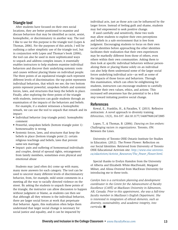#### Triangle tool

After students have focused on their own social locations, they are better positioned to examine and discuss behaviors that may be identified as racist, sexist, homophobic, or discriminatory in another way. The tool I like to use for this purpose is the triangle tool (Lopes & Thomas, 2006). For the purposes of this article, I will be outlining a rather simplistic use of the triangle tool, but in conjunction with Lopes and Thomas's book (2006), the tool can also be used in more sophisticated ways to unpack and address complex issues; it essentially enables instructors to help students examine individual behaviors and discover their underlying systemic roots and causes without placing blame on individual people. The three points of an equilateral triangle each represent different levels of discrimination: the top point represents individual behaviors, that which we see; the two bottom points represent powerful, unspoken beliefs and systemic forces, laws, and structures that keep the beliefs in place. Finally, after exploring the three points of the triangle with students, instructors can guide students through an examination of the impacts of the behaviors and beliefs.

For example, if a student witnesses a homophobic remark, we can use the tool to unpack that remark and its impact:

- Individual behavior (top triangle point): homophobic comment
- Powerful, unspoken beliefs (bottom triangle point 1): homosexuality is wrong
- Systemic forces, laws, and structures that keep the beliefs in place (bottom triangle point 2): certain religious teachings and beliefs, laws that prevent same-sex marriage
- Impact: pain and suffering of homosexual individuals and couples, denial of spousal rights, estrangement from family members, sometimes even physical and emotional abuse

Students may (and often do) come up with many, many more answers for each category. The tool can be used to uncover many different levels of discriminatory behavior, from, for example, mild sexist comments in a meeting all the way to racially directed violence on the street. By asking the students to unpack these points of the triangle, the instructor can allow discussion to happen without judgment or blame, as students can then see that although all they witness is the individual behavior, there are larger social forces at work that perpetuate that behavior. Again, this realization often helps them understand that larger social change is necessary for social justice and equality, and it can be impacted by

individual acts, just as those acts can be influenced by the larger forces. Instead of feeling guilt and shame, students may feel empowered to seek positive change.

If used carefully and sensitively, these two tools may allow students to explore their own perceptions and beliefs in a safe environment that is free from judgment. Encouraging students to focus on their own social identities before approaching the other identities facilitates their realization that their own experiences may be markedly different from those of others, even others within their own communities. Asking them to then look at specific individual behaviors without personalizing them or placing blame solely on an individual can also help them understand some of the larger social forces underlying individual acts—as well as some of the impacts of those forces and behaviors. Through this examination, which can often be enlightening for students, instructors can encourage students to carefully consider their own values, ethics, and actions. This increased self-awareness has the potential to be a first step toward initiating positive social change.

#### References

Kowal, E., Franklin, H., & Paradies, Y. (2013). Reflexive antiracism: A novel approach to diversity training. *Ethnicities*, 13(3), 316-337. doi:10.1177/1468796812472885

Lopes, T., & Thomas, B. (2006). *Dancing on live embers: Challenging racism in organizations*. Toronto, ON: Between the Lines.

University of Toronto OISE Ontario Institute for Studies in Education. (2012). The Power Flower: Reflection on our Social Identities. Retrieved from University of Toronto OISE Educational Activism site: *[http://www.oise.utoronto.](http://www.oise.utoronto.ca/edactivism/Activist_Resources/The_Power_Flower.html) [ca/edactivism/Activist\\_Resources/The\\_Power\\_Flower.html](http://www.oise.utoronto.ca/edactivism/Activist_Resources/The_Power_Flower.html).* 

Special thanks to Evelyn Hamdon from the University of Alberta and Elizabeth White-MacDonald, Margaret Milner, and Alissa Overend from MacEwan University for introducing me to these tools.

*Carolyn Ives is a curriculum planning and development coordinator in the Centre for the Advancement of Faculty Excellence (CAFÉ) at MacEwan University in Edmonton, AB, Canada. Prior to this appointment, she was a full-time faculty member in MacEwan's English Department. She is interested in integration of ethical elements, such as diversity, sustainability, and academic integrity, into curricula.* n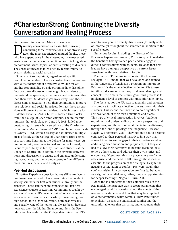### #CharlestonStrong: Continuing the Diversity Conversation and Healing Process

By Jennifer Bradley and Marla Robertson I iversity conversations are essential; however,<br>conducting these conversations is not always<br>Even the most experienced tenured faculty, the<br>who have spent vears in the classroom, have express conducting these conversations is not always easy. Even the most experienced tenured faculty, those who have spent years in the classroom, have expressed anxiety and apprehension when it comes to talking about predominant issues, topics, or events relating to diversity. The sense of unease is intensified by recent traumatic events relating to racial disparity.

So why is it so important, regardless of specific discipline, to be able to have a constructive conversation with our students about diversity? Why take on yet another responsibility outside our immediate discipline? Because these discussions just might lead students to understand perspectives, experiences, and opinions other than their own. Students might walk away from these discussions motivated to help their communities improve race relations and social injustices. Perhaps these discussions will prevent another incident in which lives are lost.

Mother Emanuel AME Church is located two blocks from the College of Charleston campus. The murderous rampage that took place on June 17, 2015, killed nine outstanding citizens who were pillars of the Charleston community. Mother Emanuel AME Church, and specifically Cynthia Hurd, worked closely and influenced multiple areas of study at the College of Charleston; Hurd served as a part-time librarian at the College for many years. As our community continues to heal and move forward, it is our responsibility as faculty, staff, and students at the College of Charleston to continue the diversity conversations and discussions to ensure and enhance understanding, acceptance, and unity among people from different races, cultures, beliefs, and lifestyles.

#### Peer-led discussions

First-Year Experience peer facilitators (PFs) are faculty nominated students who have been trained to conduct weekly seminars for first-year students throughout the semester. These seminars are connected to First-Year Experience courses or Learning Communities taught by a roster of faculty. PFs cover a host of topics commonly associated with students successfully transitioning from high school into higher education, both academically and socially. One of the topics has always been diversity; however, after the Mother Emanuel murders, the Peer Education leadership at the College determined that PFs

need to incorporate diversity discussions (formally and/ or informally) throughout the semester, in addition to the specific lesson.

Numerous faculty, including the director of the First-Year Experience program, Chris Korey, acknowledge the benefit of having trained peer leaders engage in difficult conversations with students. He adds that peer leaders have a unique perspective on current issues associated with race, relative to faculty.

The revised PF training incorporated the Intergroup Dialogue (IGD) model that was developed and refined at the University of Michigan's Program on Intergroup Relations. It's the most effective model for PFs to use in difficult discussions that may challenge ideology and concepts. Their main focus throughout this process is to implement a level of comfort with uncomfortable topics.

The first step for the PFs was to mentally and emotionally prepare to facilitate effective conversations with their students. This meant that they had to do a significant self-evaluation of their own limitations and biases. This type of critical introspection involves "students examining and understanding their own perspective and experiences, and those of other students in the dialogue, through the lens of privilege and inequality" (Maxwell, Nagda, & Thompson, 2011). They not only had to become connected to their personal narratives in a way that allowed them to see the gaps in their experiences when addressing discrimination and prejudices, but they also had to allow their narratives to become teaching tools to help others share and address their own stories and encounters. Oftentimes, this is a place where conflicting ideas arise, and the need to talk through those ideas is essential to the progression of the dialogue. Despite the negative connotation of conflict, PFs were taught that conflicts arising in a conversation are "not [to be] taken as a sign of failed dialogue; rather, they are opportunities for deeper learning" (Nagda & Gurin, 2007).

Once the PFs understood their complex roles in the IGD model, the next step was to create parameters that encouraged candid discussion about the effects of the massacre on students and how that may be amplified on a predominantly white campus. They were trained to explicitly discuss the anticipated conflict and the uncomfortableness that can arise, and encourage their

#### CONTINUED ON PAGE 15  $\blacktriangleright$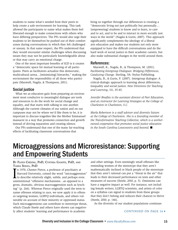students to name what's needed from their peers to help create a safe environment for learning. This task allowed the participants to name what makes them feel liberated enough to make connections with others who have differing perspectives. The PFs would also urge their students to let themselves be pushed out of their comfort zones during conversations in which they felt challenged or uneasy. In that same respect, the PFs understood that they would encounter similar challenges when discussing issues they may not be particularly knowledgeable about or that may carry an emotional charge.

One of the most important benefits of IGD is it creates a "democratic space for mutual learning of all participants. Peers as facilitators actualize this democratic, multicultural arena…[minimizing] hierarchy," making the environment the responsibility of all those who participate (Maxwell, Nagda, & Thompson, 2011).

#### Social justice

What we as educators gain from preparing an environment most conducive to meaningful dialogue are tools and resources to do the work for social change and equality, and that starts with talking to one another. Although the current climates of our nation and on our campuses may not be where we'd like them to be, it is important to discuss tragedies like the Mother Emmanuel massacre in a way that promotes connection and growth instead of driving separation and creating silence.

Our PFs understand that one of the many far-reaching effects of facilitating classroom conversations that

bring us together through our differences is creating a "democratic living not just politically but personally… [empowering] students to know and to learn, to care and to act, and to be and to interact in more socially just ways in the world" (Nagda & Gurin, 2007). This approach significantly complements the ideology of a liberal arts education and makes our students not only more equipped to have the difficult conversations and do the hard work of social justice in their academic careers, but also make substantial changes in the world around them.

#### References:

Maxwell, K., Nagda, B., & Thompson, M. (2011). *Facilitating Intergroup Dialogues: Bridging Differences, Catalyzing Change.* Sterling, VA: Stylus Publishing.

Nagda, B., & Gurin, P. (2007). Intergroup dialogue: A critical-dialogic approach to learning about differences, inequality and social justice. *New Directions for Teaching and Learning*, 111, 35-45.

*Jennifer Bradley is the assistant director of Peer Education, and an instructor for Learning Strategies at the College of Charleston in Charleston, S.C.* 

*Marla Robertson is a staff advisor and diversity liaison at the College of Charleston. She is a founding member of the Transformative Teaching Collective, which is a workerowned cooperative that promotes social justice education in the South Carolina Lowcountry and beyond.*  $\blacksquare$ 

### Microaggressions and Microresistance: Supporting and Empowering Students

#### By Floyd Cheung, PhD, Cynthia Ganote, PhD, and Tasha Souza, PhD

I In 1970, Chester Pierce, a professor of psychiatry at Harvard University, coined the word "microaggression" to describe relatively slight, subtle, and perhaps even unintentional "offensive mechanisms…as opposed to a gross, dramatic, obvious macroaggression such as lynching" (p. 266). Whereas Pierce originally used the term to name offenses relating to race, we now apply it to offenses targeting women, LGBTQ individuals, and others vulnerable on account of their minority or oppressed status. Such microaggressions can contribute to stereotype threat, which Claude Steele and others have shown can negatively affect students' learning and performance in academic

and other settings. Even seemingly small offenses like reminding women of the stereotype that they aren't mathematically inclined or black people of the stereotype that they aren't rational can put a "threat in the air" that leads to their decreased performance on tests and other measures of success (Steele, 2010, p. 5). Omissions can have a negative impact as well. For instance, not including female writers, LGBTQ scientists, and artists of color on a syllabus can signal to students from these groups that they don't belong and reduces their chances to thrive (Steele, 2010, p. 146).

As the diversity of our student populations continues

#### CONTINUED ON PAGE 16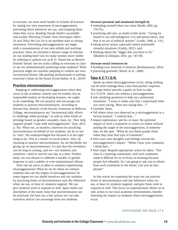to increase, we must work harder to include all learners by raising our own awareness of microaggressions, preventing them whenever we can, and stopping them when they occur. Reading Claude Steele's accessible and erudite *Whistling Vivaldi: How Stereotypes Affect Us and What We Can Do* is an excellent start to raising awareness. Preventing microaggressions can begin with a reexamination of our own syllabi and teaching practices. Have we included a diverse range of scholars on our reading lists? Can we make women more visible by referring to authors not as B. D. Tatum but as Beverly Daniels Tatum? Are we really calling on everyone in class or are we unintentionally preferring some students? What practices might we consider adopting to combat our own unconscious biases, like grading anonymously or putting everyone's ideas on the board (Cook-Sather, et al., 2014)?

#### Practice microresistance

Stopping or addressing microaggressions when they occur in the academic context may be trickier, but as responsible leaders of developing learners, we ought to do something. We can practice and encourage our students to practice microresistances. According to Sayumi Irey, director of the Faculty Commons at Bellevue College, microresistances are "incremental daily efforts to challenge white privilege" as well as other kinds of privilege based on gender, sexuality, class, etc. They help targeted people "cope with microaggressions" (Irey, 2013, p. 36). When we, as teachers, intervene by practicing microresistance on behalf of our students, we do so not to "save" the underprivileged but because it is the right thing to do. This is a matter of social justice. Also, by choosing to practice microresistance, we are decidedly not giving up on macroresistance. It's just that the revolution can be long in coming, and we—our students and ourselves—need to survive one day at a time. Furthermore, we can choose to calibrate a smaller or gentler response to suit a subtler or even unintentional offense.

 How can we serve as allies to students experiencing microaggressions? What do we do when we witness students who are the targets of microaggressions? To some degree we can shield ourselves and our students by practicing forms of microresistance and ally behaviors when we see, or hear of, students targeted. We can give students tools to respond as well. Space limits our description of the many ways that microresistance can be practiced, but here are a few actions we can take ourselves and/or can encourage from our students.

#### **Increase personal and emotional strength by**

- reminding yourself what you value (Steele, 2010, pp. 174-75);
- practicing self-care; as Audre Lorde wrote, "Caring for myself is not self-indulgence, it is self-preservation, and that is an act of political warfare" (Lorde, 1988, p. 131);
- taking power poses, especially before potentially stressful situations (Cuddy, 2012); and
- thinking about the "bigger fish you have to fry" (Madden & Gillespie, 2014, pp. 147-48).

#### **Increase social resources by**

- building your network of mentors (Rockquemore, 2014)
- practicing gratitude (Wood, et al., 2008).

#### Take A.C.T.I.O.N.

Speak up when microaggressions occur; doing nothing can do more damage than a less-than-perfect response. The steps below provide a guide on how to take A.C.T.I.O.N. when you witness a microaggression.

- Ask clarifying questions to help you understand intentions. "I want to make sure that I understand what you were saying. Were you saying that…?"
- Carefully listen.
- Tell others what you observed as a microaggression in a factual manner. "I noticed that..."
- Impact exploration: ask for, or state, the potential impact of such a statement or action on others without putting the target of the microaggression, if someone else, on the spot. "What do you think people think when they hear that type of comment?"
- Own your own thoughts and feelings around the microaggression's impact. "When I hear your comment, I think/feel…"
- Next steps: Request appropriate action be taken. "Our class is a learning community, and such comments make it difficult for us to focus on learning because people feel offended. So I am going to ask you to refrain from such comments in the future. Can you do that please?"

In this article we examined the ways we can practice forms of microresistance and ally behaviors when we see, or hear of, students targeted, and give them tools to respond as well. This focus on empowerment allows us to take action in our local academic environments, thereby lessening the impact on students when microaggressions occur.

#### CONTINUED ON PAGE 17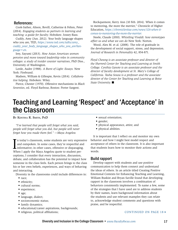#### References:

Cook-Sather, Alison, Bovill, Catherine & Felten, Peter (2014). *Engaging students as partners in learning and teaching: a guide for faculty.* Hoboken: Jossey-Bass.

Cuddy, Amy (Jun. 2012). Your body language shapes who you are, TED, *[https://www.ted.com/talks/amy\\_](https://www.ted.com/talks/amy_cuddy_your_body_language_shapes_who_you_are?language=en.) [cuddy\\_your\\_body\\_language\\_shapes\\_who\\_you\\_are?lan](https://www.ted.com/talks/amy_cuddy_your_body_language_shapes_who_you_are?language=en.)[guage=en.](https://www.ted.com/talks/amy_cuddy_your_body_language_shapes_who_you_are?language=en.)*

Irey, Sayumi (2013). *How Asian American women perceive and move toward leadership roles in community colleges: a study of insider counter narratives*, PhD Diss., University of Washington.

Lorde, Audre (1988). *A Burst of Light: Essays.* New York: Firebrand.

Madsen, William & Gillespie, Kevin (2014). *Collaborative helping*. Hoboken: Wiley.

Pierce, Chester (1970). Offensive mechanisms in *Black Seventies*, ed. Floyd Barbour, Boston: Porter Sargent.

Rockquemore, Kerry Ann (10 Feb. 2014). When it comes to mentoring, the more the merrier," Chronicle of Higher Education, *[https://chroniclevitae.com/news/326](https://chroniclevitae.com/news/326-when-it-comes-to-mentoring-the-more-the-merrier)-when-itcomes-to-mentoring-the-more-the-merrier.*

Steele, Claude (2010). *Whistling Vivaldi: how stereotypes affect us and what we can do* New York: Norton.

Wood, Alex M. et al. (2008). The role of gratitude in the development of social support, stress, and depression. *Journal of Research in Personality* 42, 854-871.

*Floyd Cheung is an associate professor and director of the Sherrerd Center for Teaching and Learning at Smith College. Cynthia Ganote is an associate professor and the director of faculty development at St. Mary's College of California. Tasha Souza is a professor and the associate director of the Center for Teaching and Learning at Boise State University.* n

### Teaching and Learning 'Respect' and 'Acceptance' in the Classroom

By Kentina R. Smith, PhD

*"I've learned that people will forget what you said, people will forget what you did, but people will never forget how you made them feel." —Maya Angelou*

I n today's classroom, some students are very expressive and outspoken. In some cases, they're respectful and informative; in other cases, offensive or disparaging. When I apply the Maya Angelou quote to student perceptions, I consider that every interaction, discussion, debate, and collaboration has the potential to impact how someone in the class feels. Each person brings to the class his or her own beliefs, experiences, and ways of behaving and interacting.

Diversity in the classrooms could include differences in:

- race;
- ethnicity;
- cultural norms;
- experience;
- age;
- language, dialect;
- socioeconomic status;
- family dynamics;
- educational/career aspirations, backgrounds;
- religious, political affiliations;
- sexual orientation;
- gender;
- physical appearance, attire; and
- physical abilities.

It is important that I reflect on and monitor my own behavior and how I might best model respect and acceptance of others in the classroom. It is also important that students learn how to monitor their actions and words.

#### Build rapport

Develop rapport with students and use positive communication to help them connect and understand the ideas of others. In an article titled Creating Positive Emotional Contexts for Enhancing Teaching and Learning, William Buskist and Bryan Saville found that developing rapport in the classroom involves a combination of behaviors consistently implemented. To name a few, some of the strategies that I have used are to address students by their names, learn background information about the students and use relevant examples they can relate to, acknowledge student comments and questions with praise, and be respectful.

#### CONTINUED ON PAGE 18  $\rightarrow$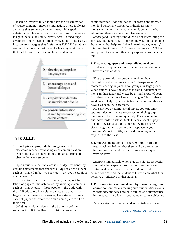Teaching involves much more than the dissemination of course content; it involves interaction. There is always a chance that some topic or comment might spark debate as people share information, personal differences, insights, beliefs, or unique experiences. To encourage awareness and respect of others' viewpoints in the class, I incorporate strategies that I refer to as D.E.E.P. I establish communication expectations and a learning environment that enable students to feel included and valued.



- $E$  encourage open and honest dialogue
- $E$  empower students to share without ridicule
- P-process information shared by reconnecting it to course content

#### Think D.E.E.P.

**1. Developing appropriate language use** in the classroom means establishing clear communication expectations and modeling the standards I expect to observe between students.

*Inform* students that the class is a "judge-free zone" by avoiding statements that appear to judge or offend others such as "that's dumb," "you're crazy," or "you're stupid if you believe…"

*Instruct* students to refer to others by name, not by labels or physical characteristics, by avoiding statements such as "that person," "those people," "the dude with the…" If educators have either a class size that is too large or a bad memory for names, have students take a sheet of paper and create their own name plate to sit on their desk.

*Collaborate* with students in the beginning of the semester to solicit feedback on a list of classroom

communication "dos and don'ts" or words and phrases they find personally offensive. Individuals know themselves better than anyone when it comes to what will offend them or make them feel excluded.

*Model* good listening techniques by not interrupting the speaker, and demonstrate appropriate ways of responding. Statements that help are "what I heard you say was...," "I interpret that to mean…," "in my experiences…," "I hear your point of view, and this is my experience/understanding…"

**2. Encouraging open and honest dialogue** allows students to experience both similarities and differences between one another.

*Plan* opportunities for students to share their viewpoints and experiences using "think-pair-share" moments sharing in pairs, small groups, or large groups. When students have the chance to think independently, then run their ideas and views by a small group of peers first, they may be more likely to dialogue. This is also a good way to help shy students feel more comfortable and have a voice in the classroom.

For sensitive or controversial topics, you can offer opportunities for in-class responses to whole-group questions to be made anonymously. For example, hand out index cards or ask students to tear a sheet of paper in half (they can share the other half with a nearby classmate), and write down their response to your question. Collect, shuffle, and read the anonymous responses to the class.

#### **3. Empowering students to share without ridicule** means acknowledging that there will be differences in the classroom and that individuals are unique in varying ways.

*Intervene* immediately when students violate respectful communication expectations. Be direct and reiterate institutional expectations, student code of conduct, course policies, and the student self-reports on what they perceive as offensive or disparaging.

**4. Processing information shared by reconnecting it to course content** means making sure student discussions, viewpoints, and ideas are both valued and summarized in the context of a learning outcome or course objective.

*Acknowledge* the value of student contributions, even

CONTINUED ON PAGE 19  $\rightarrow$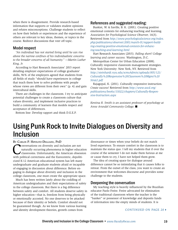when there is disagreement. Provide research-based information that supports or validates student opinions and refutes misconceptions. Challenge students to reflect on how their beliefs or experiences and the experience of others are relevant to key ideas, themes, or topics in the course. Redirect discussions that veer off topic.

#### Model respect

*"An individual has not started living until he can rise above the narrow confines of his individualistic concerns to the broader concerns of all humanity." —Martin Luther King, Jr.*

According to Hart Research Associates' 2015 report detailing employer expectations of college graduates' skills, 96% of the employers agreed that students from all fields of study "should have experiences in college that teach them how to solve problems with people whose views are different from their own" (p. 4) and gain intercultural skills.

There are challenges in the classroom. I try to anticipate potential challenges to create a classroom culture that values diversity, and implement inclusive practices to build a community of learners that models respect and acceptance of differences.

Bottom line: Develop rapport and think D.E.E.P.

#### References and suggested reading:

Buskist, W. & Saville, B. K. (2001). Creating positive emotional contexts for enhancing teaching and learning. *Association for Psychological Science Observer,* 14(3). Retrieved from *[http://www.psychologicalscience.org/index.](http://www.psychologicalscience.org/index.php/publications/observer/2001/march-01/rapport-building-creating-positive-emotional-contexts-for-enhancing-teaching-and-learning.html) [php/publications/observer/2001/march-01/rapport-build](http://www.psychologicalscience.org/index.php/publications/observer/2001/march-01/rapport-building-creating-positive-emotional-contexts-for-enhancing-teaching-and-learning.html)[ing-creating-positive-emotional-contexts-for-enhanc](http://www.psychologicalscience.org/index.php/publications/observer/2001/march-01/rapport-building-creating-positive-emotional-contexts-for-enhancing-teaching-and-learning.html)[ing-teaching-and-learning.html](http://www.psychologicalscience.org/index.php/publications/observer/2001/march-01/rapport-building-creating-positive-emotional-contexts-for-enhancing-teaching-and-learning.html)*

Hart Research Associates (2015). *Falling short? College learning and career success.* Washington, D.C.

Metropolitan Center for Urban Education (2008). Culturally responsive classroom management strategies. New York University: New York, NY. Retrieved from *[http://steinhardt.nyu.edu/scmsAdmin/uploads/005/121/](http://steinhardt.nyu.edu/scmsAdmin/uploads/005/121/Culturally%20Responsive%20Classroom%20Mgmt%20Strat2.pdf) [Culturally%](http://steinhardt.nyu.edu/scmsAdmin/uploads/005/121/Culturally%20Responsive%20Classroom%20Mgmt%20Strat2.pdf)20Responsive%20Classroom%20Mgmt%[20](http://steinhardt.nyu.edu/scmsAdmin/uploads/005/121/Culturally%20Responsive%20Classroom%20Mgmt%20Strat2.pdf) [Strat2.pdf](http://steinhardt.nyu.edu/scmsAdmin/uploads/005/121/Culturally%20Responsive%20Classroom%20Mgmt%20Strat2.pdf)*

Rajagopal, K. (2011). Culturally responsive instruction. *Create success!* Retrieved from *[http://www.ascd.org/](http://www.ascd.org/publications/books/111022/chapters/Culturally-Responsive-Instruction.aspx) [publications/books/111022/chapters/Culturally-Respon](http://www.ascd.org/publications/books/111022/chapters/Culturally-Responsive-Instruction.aspx)[sive-Instruction.aspx](http://www.ascd.org/publications/books/111022/chapters/Culturally-Responsive-Instruction.aspx)*

*Kentina R. Smith is an assistant professor of psychology at Anne Arundel Community College.* n

### Using Punk Rock to Invite Dialogues on Diversity and Inclusion

#### By Carlos P. Hipolito-Delgado, PhD

**Conversations on diversity and inclusion are not**<br>naturally occurring phenomena in higher educa<br>classrooms. Unfortunately, the American obsess naturally occurring phenomena in higher education classrooms. Unfortunately, the American obsession with political correctness and the Eurocentric, depoliticized K-12 American educational system has left many undergraduate and graduate students afraid or incapable of engaging in discussion about difference. Before engaging in dialogue about diversity and inclusion in the college classroom, one must create the appropriate space.

Much has been written lately about the coddling of American undergraduates and their expectations of safety in the college classroom. But there is a big difference between safety and comfort. All students deserve safety in higher education—that is, freedom from being physically or emotionally accosted. No one deserves to be attacked because of their identity or beliefs. Comfort should not be guaranteed though. As we know from various learning and identity development theories, growth comes from

dissonance or times when your beliefs do not match lived experience. To ensure comfort in the classroom is to maintain the status quo. I tell my students that if over the course of the semester I do not make them furious at me or cause them to cry, I have not helped them grow.

The idea of creating space for dialogue around difference cannot be so intimidating that it causes folks to retreat. From the outset of the class, you want to create an environment that welcomes discourse and provides some challenge to the students.

#### Deepening the conversation

My teaching style is heavily influenced by the Brazilian educator Paolo Freire. Freire advocated for elimination of the traditional classroom where the teacher is the "banker" or possessor of knowledge and deposits funds of information into the empty minds of students. It is

#### CONTINUED ON PAGE 20  $\rightarrow$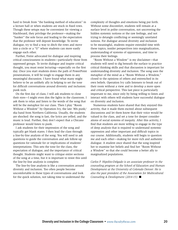hard to break from "the banking method of education" in a lecture hall or when students are stuck in fixed rows. Though these setups may be convenient for viewing a blackboard, they privilege the professor—making the "banker" the sole focus and leading to the expectation that the professor will deposit knowledge. To invite dialogue, try to find a way to ditch the rows and move into a circle or a "U" where students can more easily engage each other.

Further, Freire advocated for dialogue and inspiring critical consciousness in students—particularly those from oppressed groups. To invite dialogue and inspire critical thought, you must resist lecturing—especially on the first day. Once you start students down the path of PowerPoint presentations, it will be tough to engage them in any meaningful discussion. I have found what many might believe to be an unlikely ally in helping to set the tone for difficult conversations around diversity and inclusion: punk rock.

On the first day of class, I will ask students to close their eyes—I might even dim the lights in the classroom. I ask them to relax and listen to the words of the song that will be the metaphor for our class. Then I play "Room Without a Window" by Operation Ivy, the late '80s punk/ ska band from Northern California. Usually, the students are shocked: the song is fast, the lyrics are yelled, and the music is loud. Further, they don't expect that a Chicano professor would listen to punk.

I ask students for their impression of the song and typically get blank stares. I then lead the class through a line-by-line analysis of the song. You will need to ask questions to guide the conversation and ask follow-up questions for rationale for or implications of students' interpretations. This sets the tone for the class, the expectation of dialogue, and the importance of critical thought. Students might want to critique entire sections of the song at a time, but it is important to resist this until the line-by-line analysis is complete.

The line-by-line analysis is like a conversation around diversity and inclusion. Too often people become uncomfortable in these types of conversations and look for the quick solution, not taking time to understand the

complexity of thoughts and emotions being put forth. Without some discomfort, students will remain at a surface level in polite conversation, not uncovering the hidden systemic notions or the raw feelings, and not trying to detangle conflicting or seemingly unrelated notions. For dialogue around diversity and inclusion to be meaningful, students require extended time with these topics, insider perspectives into marginalization, understanding of systems of oppression, and time to process their feelings.

"Room Without a Window" is my disclaimer—that students will need to dig beneath the surface to practice critical thinking skills and that discussion is important for understanding diversity and inclusion. The song uses the metaphor of the mind as a "Room Without a Window," closed to the opinions of others and entrenched in its own beliefs. Operation Ivy calls listeners to break out of their room without a view and to develop a more open and critical perspective. This last piece is particularly important to me, since only by being willing to listen and interact with others will students have successful dialogue on diversity and inclusion.

Numerous students have shared that they enjoyed this activity, that it made them excited about subsequent discussions and let them know that their voice would be valued in the class, and set a tone for deeper considerations of social systems of inequity. After this activity, I find that students are more willing to engage in the type of deep analysis that is required to understand systemic oppression and other important and difficult topics in our course. Additionally, students will begin to question me and each other—making for more rich and authentic dialogue. A student once shared that the song inspired her to examine her beliefs and find her "Room Without a Window" so that she could become a better ally to marginalized populations.

*Carlos P. Hipolito-Delgado is an associate professor in the counseling program at the School of Education and Human Development at the University of Colorado Denver. He is also the past president of the Association for Multicultural Counseling & Development (2014-15).* ■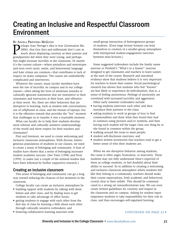### Creating an Inclusive and Respectful Classroom Environment

#### By Angela Provitera McGlynn

**Perhaps Jean Twenge's idea is true (Generation Me, 2006): that Gen Xers and millennials don't care as much about displaying courtesy as their parents and perhaps.** 2006): that Gen Xers and millennials don't care as much about displaying courtesy as their parents and grandparents did when they were young, and perhaps this might increase incivility in the classroom. Or maybe it's the current culture—where prejudices and stereotypes and even overt racist, sexist, and heterosexist language and hate crimes are common—that contributes to lack of respect on many campuses. The causes are undoubtedly complicated and interwoven.

Whatever the causes, many faculty members have seen the rise of incivility on campus and in our college classes—often taking the form of intolerant remarks or culturally ignorant statements that are insensitive to their classmates and instructors at their least, and offensive at their worst. Yes, there are other behaviors that are disruptive to learning, such as student side conversations, use of cellphones in class, and the misuse of laptops, but it is the offensive remark that provides the "hot" moment that challenges us to transfer it into a teachable moment.

What can faculty do to help their students develop more tolerant and culturally sensitive understandings of the world and show respect for their teachers and classmates?

First and foremost, we need to create welcoming and inclusive classroom atmospheres. With diverse, heterogeneous populations of students in our classes, we need to create a sense of belonging and community. A host of studies have shown that a sense of belonging increases student academic success. (See Tinto (1998) and Frost (1999), to name just a couple of the seminal studies that have been followed by further supportive research.)

#### Creating an inclusive classroom

This sense of belonging and community can go a long way toward reducing the chances of hot moments in the classroom.

College faculty can create an inclusive atmosphere by

- building rapport with students by talking with them before and after class, and by finding ways to get students to take advantage of office hours;
- getting students to engage with each other from the first day of class by learning a little about each other through culturally sensitive icebreakers; and • fostering collaborative learning exercises with

small-group interaction of heterogeneous groups of students. (Even large lecture formats can lend themselves to creation of a smaller-group atmosphere with interspersed student-engagement exercises between mini-lectures.)

Some suggested icebreakers include the family name exercise or Penfield's "What's in a Name?" exercise designed to get classmates and teachers to learn names at the start of the course. Research and anecdotal evidence show that students believe it is very important for teachers to know their names. Social psychological research has shown that students who feel "known" are less likely to experience de-individuation, that is, a sense of feeling anonymous. Feelings of anonymity are correlated with increased incivility and aggression.

Other early semester icebreakers include

- having students interview each other and then introduce their partners to the class;
- asking students to work in groups of four to find commonalities and draw what they found they had in common using pictures and/or symbols, and then having each student tell the larger class one thing he or she found in common within the group;
- walking around the room to meet people;
- student self-disclosure exercises; and
- student written inventories that teachers read to get a better sense of who their students are.

When we see disruptive behavior among students, the cause is often anger, frustration, or insecurity. These students may not fully understand what's expected of them as college students, or feel doubtful about their ability to succeed. So in addition to creating a welcoming and inclusive classroom atmosphere where students feel like they belong to a community, teachers should make their course expectations, both academic and behavioral, crystal clear in their syllabi. This should be communicated in a strong yet nonauthoritarian way. We can even create written guidelines for courtesy and respect in the classroom and on campus. Asking for student input empowers students to take responsibility for their role in class, and thus encourages self-regulated learning.

#### CONTINUED ON PAGE 22  $\rightarrow$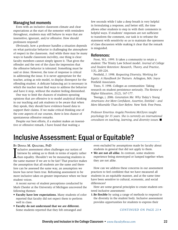#### Managing hot moments

Even with an inclusive classroom climate and clear expectations at the start of the semester with reminders throughout, students may still behave in ways that are insensitive, ignorant, and/or offensive. How should professors respond?

Obviously, how a professor handles a situation depends on what particular behavior is challenging the atmosphere of respect in the classroom. And while there may be many ways to handle classroom incivility, one thing is clear: faculty members cannot simply ignore it. That gives the offender and the rest of the class the impression that the offensive behavior is tolerated. Something must be said or done. However, the tone of response is critical in addressing the issue. It is never appropriate for the teacher, acting as role model, to display disrespect for the offending student. A delicate balancing act is necessary in which the teacher must find ways to address the behavior and have it stop, without the student feeling diminished.

One way to limit the chances of students spouting opinions that are offensive is to model analytical thinking in our teaching and ask students to be aware that when they speak, they should have evidence-based data to support their claims. If we make critical thinking one of the core aspects of our courses, there is less chance of spontaneous offensive remarks.

Despite our best efforts, if a student makes an insensitive or offensive remark, I have found that waiting a

few seconds while I take a deep breath is very helpful in formulating a response, and better still, the time allows other students to step in with their comments in helpful ways. If students' responses are not sufficient to transform the comment, our task is to reframe the statement with sensitivity so as to maintain the openness of class discussion while making it clear that the remark is misguided.

#### References:

Frost, W.L. 1999. It takes a community to retain a student: The Trinity Law School model. *Journal of College and Student Retention: Research, Theory, and Practice*, 1(3), 203-224.

Penfield, J. 1998. *Respecting Diversity, Working for Equity: A Handbook for Trainers.* Arlington, MA: Joyce Penfield Associates.

Tinto, V. 1998. Colleges as communities: Taking research on student persistence seriously. *The Review of Higher Education,* 21(2), 167-177.

Twenge, j. 2006. *Generation Me: Why Today's Young Americans Are More Confidant, Assertive, Entitled – and More Miserable Than Ever Before.* New York: Free Press.

*Professor Emeritus Angela Provitera McGlynn taught psychology for 35 years. She is currently an international consultant on teaching, learning, and diversity issues.*■

### Inclusive Assessment: Equal or Equitable?

#### By Donna M. Qualters, PhD

I nclusive assessment often challenges our notion of fairness by asking us to think in terms of equity rather than equality. Shouldn't we be measuring students in the same manner if we are to be fair? That practice makes the assumption that all students are the same and therefore can be assessed the same way, an assumption we know has never been true. Reframing assessment to be more inclusive takes on greater importance when we hear student voices.

A recent survey of student perceptions conducted by Mark Chesler at the University of Michigan uncovered the following themes:

- **• Faculty have low expectations.** Many students of color reported that faculty did not expect them to perform well in class.
- **• Faculty do not understand that we are different.**  Some students reported that they felt estranged and

even excluded by assumptions made by faculty about students in general that did not apply to them.

**• We are not all alike.** In contrast, some students experience being stereotyped or lumped together when they are not alike.

How can we address these concerns in our assessment practices to feel confident that we have measured all students in an equitable manner, and at the same time have been sensitive to cultural, economic, and social differences?

Here are some general principles to create student-centered inclusive assessment:

**1.Be flexible** by using a range of methods to respond to the diversity in the student body. Inclusive assessment provides opportunities for students to express their

#### CONTINUED ON PAGE 23  $\rightarrow$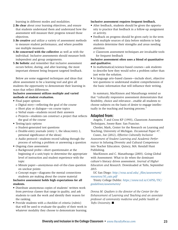learning in different modes and modalities.

- **2.Be clear** about your learning objectives, and ensure that students understand them and understand how the assessment will measure their progress toward those objectives.
- **3.Be creative** and utilize a variety of assessment methods to measure student performance, and where possible use multiple measures.
- **4.Be concerned with the collective** as well as with the individual. Inclusive assessments should measure both independent and group assignments.
- **5.Be holistic** and remember that inclusive assessment occurs before, during, and after learning, the most important element being frequent targeted feedback.

Below are some suggested techniques and ideas that allow assessment to be a learning tool and give all students the opportunity to demonstrate their learning in ways that reflect differences.

#### **Inclusive assessment utilizes multiple and varied methods of student evaluation.**

- Final paper options
	- o Digital story—reflecting the goal of the course
	- o Short play or dialogue—on course topics
	- o Verbal exam—students record their answers
	- o Projects—students can construct a project that reflects the goal of the course
- Testing/quiz options
	- o Student-generated test questions
	- o Double-entry journals (entry 1, the ideas/entry 2, personal significance of the ideas)
	- o Audio protocol—students record talking through the process of solving a problem or answering a question
- Ongoing class assessment
	- o Background probe—short questionnaire at the beginning of a unit/topic to determine the appropriate level of instruction and student experience with the topic
	- o Minute paper—anonymous end–of-the-class question on unclear points
	- o Concept maps—diagrams the mental connections students are making about the course material

**Inclusive assessment holds high expectations for all students.** 

- Distribute anonymous copies of students' written work from previous classes that range in quality, and ask students to rank the work and identify their reason for the ranking.
- Provide students with a checklist of criteria (rubric) that will be used to evaluate the quality of their work in whatever modality they choose to demonstrate learning.

#### **Inclusive assessment requires frequent feedback.**

- After feedback, students should be given the opportunity to practice that feedback in a follow-up assignment or activity.
- Feedback on progress should be given early in the term with multiple sources of data before midterm to help students determine their strengths and areas needing attention
	- o Classroom assessment techniques are invaluable tools for frequent feedback

#### **Inclusive assessment often uses a blend of quantitative and qualitative.**

- In mathematical/science-based courses—ask students to describe how they would solve a problem rather than just write the solution.
- In language arts–based classes—include short, objective test questions to understand student comprehension of the basic information that will influence their writing.

In summary, MacKinnon and Manathunga remind us that "culturally responsive assessment demonstrates that flexibility, choice and relevance…enable all students to choose subjects on the basis of desire to engage intellectually in the teaching and learning process."

#### Adapted from:

Angelo, T and Cross KP (1993), Classroom Assessment Techniques, Jossey-Bass: San Franciso.

Chesler, Mark, Center for the Research on Learning and Teaching, University of Michigan. Occasional Paper #7.

Cuseo, Joe (2012), *Effective Culturally Inclusive Assessment of Student Learning and Academic Performance* in Infusing Diversity and Cultural Competence into Teacher Education. Quincy, MA: Kendall Hunt Publishing.

MacKinnon and C. Manathunga (2003). Going Global with Assessment: What to do when the dominant culture's literacy drives assessment. *Journal of Higher Education and Research*. Downloaded at Tufts, September 2015.

UC San Diego: *[http://vcsa.ucsd.edu/\\_files/assessment/](http://vcsa.ucsd.edu/_files/assessment/resources/50_cats.pdf) [resources/50\\_cats.pdf](http://vcsa.ucsd.edu/_files/assessment/resources/50_cats.pdf)*

Trinity College Dublin: *[https://www.tcd.ie/CAPSL/TIC/](https://www.tcd.ie/CAPSL/TIC/guidelines/assessments) [guidelines/assessments/](https://www.tcd.ie/CAPSL/TIC/guidelines/assessments)* 

*Donna M. Qualters is the director of the Center for the Enhancement of Learning and Teaching and an associate professor of community medicine and public health at*  **Tufts University. ■**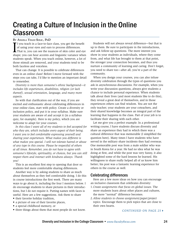### Creating a Culture of Inclusion in the Online Classroom

#### By Angela Velez-Solic, PhD

I f you teach in a face-to-face class, you get the benefit of using your eyes and ears to process differences. That is, you can see the nuances of skin color and eye shape; you can hear accents and linguistic variance when students speak. When you teach online, however, a lot of those stimuli are removed, and your students tend to be both faceless and voiceless.

That can change. It is possible to celebrate differences even in an online class! Before I move forward with the steps you can take, I'd like to mention an important detail to remember.

*Diversity is more than someone's ethnic background—it includes life experiences, disabilities, religion (or lack thereof), sexual orientation, language, and many more aspects.*

So with that clarification out of the way, if you are excited and enthusiastic about celebrating differences in your online class, start with policy. Create a diversity or inclusion policy, and put it in your syllabus. Make sure your students are aware of and accept it (in a syllabus quiz, for example). Here is my policy, which you are welcome to adapt for your courses.

*In this class I want all of my students to feel accepted for who they are, which includes every aspect of their being. I want you to feel comfortable expressing yourself and sharing your experiences. What makes you different is what makes you special. I will not tolerate hatred or abuse of any type in this course. Please be respectful of others at all times. Remember, you do not have to agree with someone's lifestyle, spirituality, or choices, but you can still respect them and interact with kindness always. Thank you!*

This is an excellent first step to opening that door so students feel more comfortable sharing differences.

Another way is by asking students to share as much about themselves as they feel comfortable doing. I do this in course introductions the first week. There are many ways to go about it, including the four I mention below. I do encourage students to share pictures in their introductions, but I do not require it. Putting names with faces is useful. Here are a few suggestions. Ask them to share

- their favorite holiday tradition,
- a picture of one of their favorite places,
- a special childhood memory, or
- three things about them that most people do not know.

Students will not always reveal difference—but that is up to them. Be sure to participate in the introductions, and ask follow-up questions. The more interest you show in your students as individuals, where they come from, and what life has brought to them at that point, the stronger your connection becomes, and thus you nurture a community of learning and caring. Don't forget, you need to share too—after all, you're a part of the community.

When you design your courses, you can also infuse diversity celebration through the types of questions you ask in asynchronous discussions. For example, when you write your discussion questions, always give students a chance to include personal experience. When students talk about their lives (and most students like to do this), they reveal a great deal of themselves, and in those experiences others can find wisdom. You are not the only teacher; your students are your coteachers, and their shared knowledge becomes an integral part of the learning that happens in the class. Part of your job is to facilitate their sharing with each other.

Let me give you a perfect example. In a professional writing course, I have students discuss diversity and share an experience they had in which there was a cultural difference that was memorable (I simplified the question here). Many times I have students who have served in the military share incidents they had overseas. One memorable post was from a male soldier who was in South Korea for a year. He had no idea what he was doing at first, and while the post was very funny, it also highlighted some of the hard lessons he learned. His willingness to share really helped all of us know him better; his post was a fantastic learning experience for others in the course as well.

#### Celebrating differences

Here are a few more ideas on how you can encourage an inclusive classroom that celebrates diversity:

- 1.*Create assignments that focus on global issues.* The more students learn about other places and cultures, the more "normal" difference becomes.
- 2.*Allow students to choose assignment/paper/project topics.* Encourage them to pick topics that are close to their own hearts.

CONTINUED ON PAGE 25  $\rightarrow$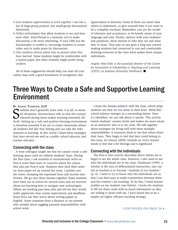- 3.*Give students opportunities to work together.* I am not a fan of large-group projects, but small-group discussions? Absolutely.
- 4.*Utilize technologies* that allow students to see and hear each other. VoiceThread is a fantastic tool to make discussions a bit more interesting. If your LMS has the functionality to enable it, encourage students to create video and/or audio posts for discussions.
- 5.*Give students choices about how to present what they have learned.* Some students might be comfortable with a typical paper, but other students might prefer being creative.

All of these suggestions should help you start off your online class with a good foundation of recognition and

appreciation of diversity. Some of these are easier than others to implement, so give yourself time if you want to do a complete overhaul. Remember, you are the model of tolerance and acceptance, so be keenly aware of your language and tone. Finally, interact with your students! Ask questions; show interest in who they are and what they've done. That type of care goes a long way toward making students feel connected to you and comfortable showing everyone in the class what makes them unique individuals.

*Angela Velez-Solic is the associate director of the Center for Innovation & Scholarship in Teaching and Learning (CISTL) at Indiana University Northwest.* n

### Three Ways to Create a Safe and Supportive Learning Environment

#### By Joanne Tompkins, EdD

S<sub>fout</sub> tudents don't generally learn well, if at all, in stressful situations. Neuroscience tells us that the cortisol released during stress makes learning extremely difficult. Setting up a safe and positive learning environment is therefore essential if we are to create classrooms where all students feel like they belong and can take the risks inherent in learning. In this article I share three strategies that have served me well as a public school educator and teacher educator.

#### Connecting with the class

A wise colleague taught me that we cannot create a safe learning space until we address students' fears. During the first class, I ask students to anonymously write on Post-it notes their fears or concerns about the course. One idea per Post-it note. Students then stick their notes on chart paper set up around the room. I quickly sort the notes, clumping the expressed fears and worries into themes. We go over these themes together. Some students have been out of school for several years and are worried about not knowing how to navigate new technologies. Others are working part-time jobs and tell me they would really appreciate clear course expectations and deadlines. Some ELLs say they worry about writing papers in English. Some commute from a distance or are parents who wonder about juggling parental responsibilities with school work.

I share the themes publicly with the class, which helps students see they are not alone in their fears. Work/life/ school balance emerges as a resounding theme. Once it's identified, we can talk about it openly. This activity lowers students' anxiety levels and makes me more aware as an instructor who is in my class. We talk together about strategies for living well with these multiple responsibilities. It reassures them to see that others share their fears. They begin to feel that they could belong to this class, for Jensen (2009) reminds us, every learner needs to feel that s/he belongs and is significant.

#### Connecting with the individuals

The Post-it note activity described above allows me to begin to see the whole class. However, I also need to see who the individuals are in my class; Tomlinson (1999), a scholar in the area of differentiated instruction, says our job as teachers is to become "students of our students" (p. 4). I need to try to know who the individuals are so that I can find ways to make connections between them and the content I am teaching. To do this, I build learner profiles on my students (see below). I invite the students to fill out these cards with as much information as they are willing to share with me. I have found this to be a simple yet highly efficient teaching strategy.

#### CONTINUED ON PAGE 26 $\rightarrow$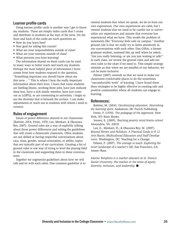#### Learner profile cards

Using learner profile cards is another way I get to know my students. These are simply index cards that I create and distribute to students at the start of the term. On the front and back of the cards are such questions as:

- How do you learn best?
- Your goal for taking this course?
- What are your responsibilities outside of class?
- What are your interests outside of class?
- What prevents you from learning?

The information shared on these cards can be used in many ways to better reach and teach my students. Perhaps the most helpful piece of information I learn comes from how students respond to the question, "Something important you should know about me this term …" This is where I hear the really important information about their lives. I learn that some students are battling illness, working three jobs, have just endured deep loss, have a sick family member, have just come out as LGBTQ, or are commuting to university. I begin to see the diversity that is beneath the surface. I can make adjustments or reach out to students with whom I need to connect.

#### Rules of engagement

Issues of power difference abound in our classrooms (Battiste, 2014; Freire, 1970; Lee, Menkart, & Okazawa-Rey, 2007). Ground rules are a way of explicitly talking about those power differences and setting the guidelines that will create a democratic classroom. Often students are not skilled at having respectful conversations about race, class, gender, sexual orientation, or ability, topics that are typically part of my curriculum. Creating a list of ground rules is one way of trying to level the playing field in the classroom and supporting them in these conversations.

Together we cogenerate guidelines about how we will talk and be with each other. One common guideline is to remind students that when we speak, we do so from our own experiences. Our own experiences are valid, but I remind students that we need to be careful not to universalize our experiences and assume that everyone has experienced what we have. This avoids the problem of statements like "Everyone feels safe on campus." Another ground rule is that we really try to listen attentively in our conversations with each other. Dan Gilfoy, a former graduate student, summed this up well when he asked, "Are you really listening, or are you just waiting to talk?" In each class, we review the ground rules and add our own rules to the chart if we need to. This simple strategy reminds us that when we are mindful of our behavior, we can be more inclusive.

Palmer (2007) reminds us that we need to make our classrooms comfortable places to do the sometimes "uncomfortable work" of learning. I have found these three strategies to be highly effective in creating safe and positive communities where all students can engage in learning.

#### References:

Battiste, M. (2014). *Decolonizing education. Nourishing the learning spirit.* Saskatoon, SK: Purich Publishing.

Freire, P. (1970). *The pedagogy of the oppressed.* New York, NY: Basic Books.

Jensen, E. (2009). *Teaching poverty mind brains school.*  Alexandria, VA: ASCD.

Lee, E., Menkart, D., & Okazawa-Rey, M. (2007). *Beyond Heroes and Holidays: A Practical Guide to K 12 Anti Racist, Multicultural Education and Staff Development.* Washington, DC: Teaching for a Change.

Palmer, P. (2007). *The courage to teach: Exploring the inner landscape of a teacher's life.* San Francisco, CA: Jossey–Bass.

*Joanne Tompkins is a teacher educator at St. Francis Xavier University. She teaches in the areas of equity, diversity, inclusion, and leadership.* n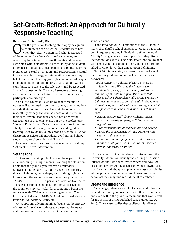### Set-Create-Reflect: An Approach for Culturally Responsive Teaching

BY VIVIAN E. OTT, PHD, RN

Over the years, my teaching philosophy has gradually embraced the belief that students learn best<br>when they clearly understand what is expected<br>of them, when they feel safe to make mistakes, and ally embraced the belief that students learn best when they clearly understand what is expected of them, when they feel safe to make mistakes, and when they have time to process thoughts and feelings associated with a classroom exercise. Integrating student differences (including values, beliefs, disabilities, learning preferences, sexual orientation, and socioeconomic status) into a curricular strategy or intervention reinforced my belief that certain learning principles are universal despite individual and group differences. That is, adults want to contribute, set goals, see the relevancy, and be respected. So my first question is, "How do I structure a learning environment in which all students can, to some extent, participate comfortably?"

As a nurse educator, I also know that these future nurses will soon need to confront patient/client situations outside their comfort zones. They will be required to respectfully manage the diverse needs of all clients in their care. My philosophy is shaped not only by the expectations of area employers, but by the profession's "Code of Ethics" and LEAP's "personal and social responsibility" essential learning outcome for undergraduate learning (AACU, 2008). So my second question is, "What classroom exercises will introduce, confront, and shape students' cultural sensitivity skill sets?"

To answer these questions, I developed what I call my "set-create-reflect" intervention.

#### Set the tone

Excitement mounting, I look across the expectant faces of 50 incoming nursing students. Scanning the classroom, I note that the group again this year is primarily Caucasian and female. Overt differences are primarily those of hair color, body shape, and clothing style. Again I look about the room; here and there, rarely more than 12-14% (PNC, 2011), I see persons of color and/or males.

The eager babble coming at me from all corners of the room jolts my curricular daydream, and I begin the semester with "Welcome ladies and gentlemen. You have a coveted seat in NUR22210, where we will discuss important foundational concepts…"

My supporting a learning milieu begins on the first day of class as I introduce students to course requirements and the questions they can expect to answer at the

semester's end.

"Time for a pop quiz," I announce at the 30-minute mark; they shuffle school supplies to procure paper and pen. I request that they individually define the word "civility" using a personal example. Next, they discuss their definitions with a single classmate, and follow that with small-group discussions. The groups' scribes are asked to write down their agreed-upon definitions.

About 20 minutes later, we regroup and read aloud the University's definition of civility and the expected behaviors:

*Purdue University Calumet places a priority on student learning. We value the inherent worth and dignity of every person, thereby fostering a community of mutual respect. We believe that in order to achieve these ideals, all Purdue University Calumet students are expected, while in the role as student or representative of the university, to exhibit and practice civil behaviors, defined as behaviors that:*

- *• Respect faculty, staff, fellow students, guests, and all university property, policies, rules, and regulations;*
- *• Take responsibility for their choices and actions;*
- *• Accept the consequences of their inappropriate choices and actions; and*
- *• Communicate in a professional and courteous manner in all forms, and at all times, whether verbal, nonverbal or written.*

I ask students to identify elements missing from the University's definition; usually the ensuing discussion touches on the "who-what-when-where-and how" of classroom civility. As the discussion winds down, I ask that they journal about how practicing classroom civility will help them become better employees, and what behaviors they may find most difficult to embrace.

#### Create the difference

A challenge, when a group looks, acts, and thinks in concert, is creating an awareness of differences outside and even within the group. A technique that works well for me is that of using published case studies (ACOG, 2011). These case studies depict clients with diverse

#### CONTINUED ON PAGE 28 $\rightarrow$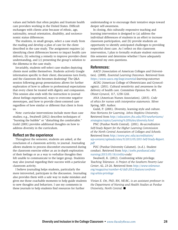values and beliefs that often perplex and frustrate health care providers working in the United States. Difficult exchanges with clients arise because of ethnic, age, nationality, sexual orientation, disability, and socioeconomic status differences.

The students, in small groups, select a case study from the reading and develop a plan of care for the client described in the case study. The assignment requires (a) identifying client differences known to impact health care delivery, (b) selecting a remedy to improve provider-client understanding, and (c) presenting the group's solution to the dilemma in the case study.

Invariably, students self-select case studies depicting clients most unlike themselves. Students actively Google information specific to their client; discussions turn lively, and the classroom din becomes deafening! The Q&A session following group presentations allows for further exploration of how to adhere to professional expectations that every client be treated with dignity and compassion. This session also ends with the instruction to journal about feelings experienced, ways to overcome negative stereotypes, and how to provide client-centered care regardless of how similar or different that client is from us.

Note: curricular interventions include more than case studies; e.g., Swalwell (2012) describes techniques of "bursting the bubble" or "disturbing the comfortable." Guild (2001) provides additional thoughts on how to address diversity in the curriculum.

#### Reflect on the experience

Throughout the semester, students are asked, at the conclusion of a classroom activity, to journal. Journaling allows students to process discomfort encountered during the classroom exercise either as an in-depth exploration of their feelings or as a way to verbalize thoughts they felt unable to communicate to the larger group. Students may also journal regarding their success with a particular classroom activity.

I believe journaling helps students, particularly the more introverted, participate in the discussion. Journaling also provides them with a safe way to make mistakes and gives me those coachable moments to help guide students to new thoughts and behaviors. I use my comments in these journals to help students find resources for further

understanding or to encourage their tentative steps toward deeper self-awareness.

In closing, this culturally responsive teaching and learning intervention is designed to (a) address the individual differences of students in an effort to increase classroom participation, and (b) provide students an opportunity to identify anticipated challenges to providing respectful client care. As I reflect on this classroom intervention, I plan to formally evaluate student outcomes this semester and determine whether I have adequately answered my own questions.

#### References:

AACU (Association of American Colleges and Universities). (2008). *Essential Learning Outcomes.* Retrieved from *<https://www.aacu.org/leap/essential>-learning-outcomes*

ACOG (American College of Obstetricians and Gynecologists). (2011). Cultural sensitivity and awareness in the delivery of health care. Committee Opinion No. 493. *Obstet Gynecol*, 117, 1258-1261.

ANA (American Nurses Association). (2015). *Code of ethics for nurses with interpretive statements.* Silver Spring, MD: Author.

Guild, P. (2001). Diversity, learning style and culture. *New Horizons for Learning. Johns Hopkins University*. Retrieved from *[http://education.jhu.edu/PD/newhorizons/](http://education.jhu.edu/PD/newhorizons/strategies/topics/Learning%20Styles/diversity.html) [strategies/topics/Learning%](http://education.jhu.edu/PD/newhorizons/strategies/topics/Learning%20Styles/diversity.html)20Styles/[diversity.html](http://education.jhu.edu/PD/newhorizons/strategies/topics/Learning%20Styles/diversity.html)*

PNC (Purdue North Central). (2011). *Re-accreditation Self-Study Report for the Higher Learning Commission of the North Central Association of Colleges and Schools.* Retrieved from *[http://www.pnc.edu/accreditation/](http://www.pnc.edu/accreditation/wp-content/uploads/sites/9/2013/05/2011-Self-Study-Report.pdf) [wp-content/uploads/sites/9/2013/05/2011-Self-Study-Report.](http://www.pnc.edu/accreditation/wp-content/uploads/sites/9/2013/05/2011-Self-Study-Report.pdf) [pdf](http://www.pnc.edu/accreditation/wp-content/uploads/sites/9/2013/05/2011-Self-Study-Report.pdf)*

PUC (Purdue University Calumet). (n.d.). Student conduct. Retrieved from *[http://webs.purduecal.edu/](http://webs.purduecal.edu/nursing/2015/05/18/civility) [nursing/2015/05/18/civility-](http://webs.purduecal.edu/nursing/2015/05/18/civility)code/*

Swalwell, K. (2012). Confronting white privilege. *Teaching Tolerance. A Project of the Southern Poverty Law Center*, 42, 23-26. Retrieved from *[http://www.tolerance.](http://www.tolerance.org/magazine/number-42-fall-2012/feature/confronting-white-privilege) [org/magazine/number-42-fall-2012/feature/confront](http://www.tolerance.org/magazine/number-42-fall-2012/feature/confronting-white-privilege)[ing](http://www.tolerance.org/magazine/number-42-fall-2012/feature/confronting-white-privilege)-white-privilege*

*Vivian E. Ott, PhD, RN, NE-BC, is an assistant professor in the Department of Nursing and Health Studies at Purdue University, North Central.* ■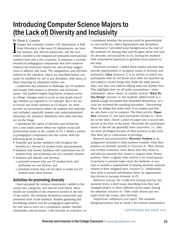### Introducing Computer Science Majors to (the Lack of) Diversity and Inclusivity

#### By David L. Largent

I suspect the computer science (CS) department at Ball<br>State University is like most CS departments; we have<br>few females, few African-Americans, and the non-<br>whites enrolled in the program are primarily international State University is like most CS departments; we have few females, few African-Americans, and the nonwhites enrolled in the program are primarily international students from just a few countries. In response, I recently introduced pedagogical components that have students research the historical reasons for, and develop suggestions to address, this issue. The assignments and activities utilized in this initiative, which are described below, can easily be modified for use in any discipline, with many of them requiring no adaptation before use.

I undertook this initiative to challenge our CS students and faculty with respect to diversity and inclusivity issues. The problem begins long before students arrive at college; changes need to occur so that grade-schoolage children are exposed to CS concepts. But if we are to recruit and retain students as CS majors, we must provide an environment where all students feel welcome and included, especially women and underrepresented minorities (by whatever definition) who often feel they are on the fringe.

I introduced the topics of diversity and inclusivity into a one-credit course where we explore social and professional issues in the context of CS. I added a variety of pedagogical components into the course, with the following goals in mind:

- Students and faculty members will recognize the benefits of a diverse CS student body and profession.
- Students and faculty members will understand our CS student body and profession are not currently diverse.
- Students will identify and develop o potential reasons why our CS student body and profession are not diverse, and
	- o potential actions that can be taken to make our CS student body more diverse.

#### Activities for promoting diversity

I have grouped the various components I added to the course into categories, and discuss each below. More details are available in the resources section at the end of the article. The students themselves researched and presented most of the material. Besides gathering and developing content and the pedagogical approaches, my role was to serve as a coordinator, quality checker, cheerleader, and promoter. I also became an evaluator, as I considered whether the process could be generalizable to, and useful for, others departments and disciplines.

Discussion: I provided some background at the start of the semester by sharing data and thoughts about (the lack of) diversity and inclusivity in CS, leaving the students with unanswered questions to generate more interest in the topic.

*Classroom activities:* I added three simple activities that provide opportunities to recognize issues of diversity and inclusivity. **Likes** (*resource 1*) is an activity in which two participants who do not know each other are matched up and asked to record things they think the other person likes, and why, but without talking with one another first. This highlights how we all make assumptions—often unfounded—about others. In another activity, **What Do You Bring?** (*resource 2*), the students added words to a shared Google document that described themselves. As a class we reviewed the resulting document, "discovering" there are things that make each of us unique and that we also have a lot in common. The third activity, **Paper Toss** (*resource 3*), has each participant attempt to—from his or her desk—throw a piece of paper into a recycle bin placed at the front of the room. Obviously the participants closer to the bin are generally more successful, i.e., they are more privileged because of their position in the room. This then led to a discussion of privilege.

*Research and presentations:* **Diversity Position** is an assignment intended to help students consider what their position on diversity actually is (*resource 4*). They choose one of three scenarios, write about why they chose it, and discuss research they found to support their chosen position. Since a regular class activity is for small groups of students to present topics from the textbook, it was easy to include a requirement of sharing diversity material related to their assigned topic (*resource 5*). Additionally, they were to present information about an organization that strives to increase diversity in CS.

*Reflective writing:* For a reflective writing exercise, the students wrote a short essay describing how they had changed relative to three different course topics during the semester (*resource 6*). They could choose any two topics from the course, plus diversity.

*Department colloquium and report:* The students' finalgroup project was to create a five-minute presentation

#### CONTINUED ON PAGE 30  $\rightarrow$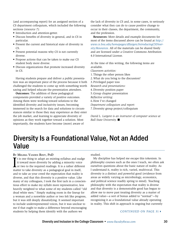(and accompanying report) for an assigned section of a CS department colloquium, which included the following sections (*resource 7*):

- Introduction and attention-getter.
- Discuss benefits of diversity in general, and in CS in particular.
- Present the current and historical state of diversity in CS.
- Present potential reasons why CS is not currently diverse.
- Propose actions that can be taken to make our CS student body more diverse.
- Discuss organizations that promote increased diversity in CS.

Having students prepare and deliver a public presentation was an important piece of the process because it both challenged the students to come up with something worth saying and helped educate the presentation attendees.

**Outcomes:** The addition of these pedagogical components provided a variety of positive outcomes. Among them were working toward solutions to the identified diversity and inclusivity issues, becoming immersed in the search for data and solutions to circumstances similar to those they may experience as they enter the job market, and learning to appreciate diversity of opinions as they work together toward a solution. Most importantly, the students have become (more) aware of

the lack of diversity in CS and, in some cases, to seriously consider what they can do to cause positive change to occur in their classes, the department, the community, and the profession.

**Resources:** More details and example documents for most of the items discussed above can be found at *[http://](http://www.cs.bsu.edu/homepages/dllargen/IntroducingCSDiversity/Resources) [www.cs.bsu.edu/homepages/dllargen/IntroducingCSDiver](http://www.cs.bsu.edu/homepages/dllargen/IntroducingCSDiversity/Resources)[sity/Resources.](http://www.cs.bsu.edu/homepages/dllargen/IntroducingCSDiversity/Resources)* All of the materials can be shared freely and are licensed under a Creative Commons Attribution 4.0 International License.

At the time of this writing, the following items are available.

- *Classroom activities:*
- 1.Things the other person likes
- 2.What do you bring to the discussion?
- 3.Privileged paper toss
- *Research and presentations:*
- 4.Diversity position paper
- 5.Group chapter presentation
- *Reflective writing:*
- 6.How I've changed
- *Department colloquium and report:*
- 7.Diversity group project/colloquium

*David L. Largent is an instructor of computer science at Ball State University.* ■

### Diversity Is a Foundational Value, Not an Added Value

#### By Melissa Vanden Bout, PhD

I It is one thing to adapt an existing syllabus and nudge it toward more diversity by adding a minority voice or two to the required readings. It is a rather different matter to take diversity as a pedagogical goal in itself, and to take as your creed the expectation that reality is diverse, and that this diversity is a positive value. Like many of my colleagues, I took the first tack in a conscientious effort to make my syllabi more representative, less heavily weighted to what some of my students called "old dead white men." Simply making room in the lineup for a woman and a nonwhite author or two felt like progress, but it was still deeply dissatisfying. It seemed important to include underrepresented voices, but it was unclear to me if that ought to make a difference beyond encouraging students by helping them identify with the authors we

studied.

My discipline has helped me escape this tokenism. In philosophy courses such as the ones I teach, we often ask ourselves questions about the basic nature of reality. As I understand it, reality is rich, varied, multivocal. This diversity is a distinct and powerful good (evidence from areas as widely varying as microbiology, economics, and political science readily spring to mind). Teaching philosophy with the expectation that reality is diverse and that diversity is a demonstrable good has begun to allow me to move past treating diversity as a matter of added value—a sort of bonus added to "normal"—by recognizing it as a foundational value already operating in reality. This shift in approach is ongoing but currently

#### CONTINUED ON PAGE 31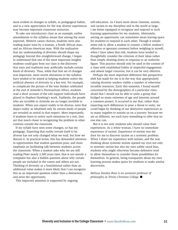most evident in changes in syllabi, in pedagogical habits, and in a new appreciation for the way diverse experiences may become important classroom resources.

To take one introductory class as an example, earlier amendments to the syllabus meant that among the more expected, Western canon choices, students were also reading major texts by a woman, a South African man, and an African-American man. With the realization that my understanding of diversity should shape my pedagogy beyond this straightforward change, I began to understand that one of the most important insights students could gain from our class is the discovery that texts and traditions may artificially exclude certain kinds of diversity. Thus, while that first set of changes was important, more recent alterations to the syllabus have tended to be aimed at helping students notice the artificial absence of diversity in a key text. For example, to complicate the picture of the lone thinker celebrated at the end of Aristotle's *Nicomachean Ethics,* students read a short account of the role support individuals have played in Stephen Hawking's work. Suddenly, the people who are invisible to Aristotle are no longer invisible to students. When you expect reality to be diverse, texts that depict reality as inhabited only by certain kinds of people are revealed as unreal in that respect. More importantly, if students learn to notice such omissions in a text, they are that much closer to recognizing the problem in other contexts outside the classroom.

If my syllabi have seen some changes, so has my pedagogy. Expecting that reality reveals itself to be diverse has not only changed what we read, but how we discuss it. In practical terms, this has demanded attention to opportunities that student questions pose, and more emphasis on facilitating talk between students across the classroom. When a student asks why we are still reading Plato nearly 2,500 years later, that is not merely a complaint but also a hidden question about why certain people are included in the canon and others are not. Thinking of diversity as a foundational rather than an additional value makes it more likely that I can recognize this as an important question rather than a distraction, and seize the opportunity.

This improved attention is supported by ongoing

self-education. As I learn more about classism, sexism, and racism in my discipline and in the world at large, I am better equipped to recognize and respond to such learning opportunities for my students. Alternately, seizing an opportunity can sometimes mean leaving space for students to respond to each other. Though it entails some risk to allow a student to counter a fellow student's offensive or ignorant comment before weighing in myself, when I have taken that risk, students have tended to thoughtfully consider the criticism of their ideas rather than simply shutting down in response to an authority figure. This practice should only be used in the context of a class with established habits of respectful engagement and absent larger concerns, but it can be very effective.

Perhaps the most important difference this perspective shift has made for me is in the way that appropriately valuing diversity renders visible a number of otherwise invisible resources. Early this semester, I found myself concerned by the demographics of a particular class, afraid that I would not be able to unite a group that bridged so many extremes of age and interests around a common project. It occurred to me that, rather than expecting such differences to pose a threat to unity, we could begin by thinking of our distinctive experiences as so many supplies to sustain us on a journey: because we are so different, we each have something to offer that no one else can.

But it is not only students who should value their experiences. As a white woman, I have no immediate experience of racism. Experience of sexism was the door for me to discover racism as a systemic problem. When I share my experience with sexism, and the way thinking about systemic sexism opened my eyes not only to systemic racism but also my own subtle racial bias, students who might otherwise become defensive tend to allow themselves to consider those possibilities for themselves. In general, being transparent about my own learning process makes space for students to make similar discoveries.

*Melissa Vanden Bout is an assistant professor of philosophy at Trinity Christian College.* ■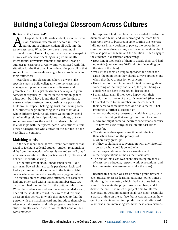### Building a Collegial Classroom Across Cultures

#### By Ronda MacLeod, PhD

An Iraqi student, a Kuwaiti student, a student who is an American veteran who served in Desert Storm, and a Chinese student all walk into the same classroom. What do they have in common?

It might sound like a joke, but it's an accurate snapshot of my class one year. Teaching on a predominantly international university campus at the time, I was no stranger to classroom diversity. But when faced with this situation for the first time, I considered the possibility that some of their commonalities might be as problematic as their differences.

Regardless of my classroom cohort, I always take specific steps to build collegiality into my classroom management plan because it opens dialogue and promotes trust. Collegial classrooms develop and grow somewhat organically—united in the common goal of education—but I have found that if I take the time to ensure student-to-student relationships are purposely built around respect, belonging, trust, and having some fun, students begin interacting with each other on a whole different level. As educators we naturally spend time building relationships with our students, but we sometimes overlook the need for students to build relationships with their peers, particularly students from diverse backgrounds who appear on the surface to have very little in common.

#### Matching cards

In the case mentioned above, I went even further than usual to facilitate collegial student–student relationships right from the inception of class. It worked so well that I now use a variation of this practice for all my classes and believe it is worth sharing.

For the first day of class, I made small cards (I did this using PowerPoint; six cards per sheet). Each card had a picture on it and a number in the bottom right corner where you would normally see a page number. The pictures on each card were different, but each card had one other card with a matching number (i.e., two cards both had the number 1 in the bottom right corner). When the students arrived, each one was handed a card: once all the students arrived, they were told this was an icebreaker activity in which they needed to find the person with the matching card and introduce themselves. After much discussion and little progress, one brave student finally came to me to confess that none of their cards matched.

In response, I told the class that we needed to solve this dilemma as a team, and we rearranged the room from classroom style to boardroom style. During this exercise I did not sit in any position of power; the power in the classroom was already mine, and I wanted to show that I was also part of the team and the solution. I then engaged the students in discussion concerning:

- How long it took each of them to decide their card had no match (average time 10-15 minutes depending on the size of the class).
- Why it took them so long to approach me about the cards, the point being they should always approach me when they have a question or concern.
- How it felt for them to tell me I might be wrong about something or that they had failed, the point being as equals we can have these tough discussions.
- I then asked again if they were happy with their conclusion that none of the cards matched (they were).
- I directed them to the numbers in the corners of their cards to show how each one had a match. That prompted a further discussion on
	- o how our thought processes or worldview can cause us to miss things that are right in front of us; and
	- o how we might come to incorrect conclusions because of how we view things based on our past experience(s).
- The students then spent some time introducing themselves based on the prompts of:
	- o where they grew up;
	- o if they could have a conversation with any historical person, who would it be and why;
	- o their expectations of their classmates; and o their expectations of me as their facilitator.
- The rest of this class was spent discussing my ideals of classroom etiquette, respect, work expectations, and learning materials/assessments (aka the rules).

Because this course was set up with a group project in each tutorial to assess learning outcomes, other things I did during that semester, which I had not done before, were: 1. designate the project group members, and 2. devote the first 10 minutes of project time to informal conversation. Accommodating small talk might seem like a waste of time on the surface, but it was surprising how quickly students settled into productive work afterward. What was more interesting was how these conversations

#### CONTINUED ON PAGE 33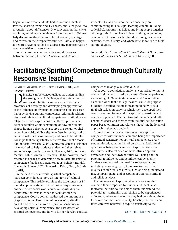began around what students had in common, such as favorite sporting teams and TV shows, and later grew into discussion about differences. One conversation that sticks out in my mind was a gentleman from Iraq and a Chinese lady discussing the different roles of women, marriage, and careers in their respective cultures. I am also happy to report I have never had to address any inappropriate or overly sensitive conversations.

So, what are the commonalities and differences between the Iraqi, Kuwaiti, American, and Chinese students? It really does not matter once they are communicating in a collegial learning climate. Building collegial classrooms has helped me bring people together who might think they have little or nothing in common, or who tend to avoid each other due to religious beliefs, customs, dress, history, and whatever else we use to build cultural divides.

*Ronda MacLeod is an adjunct in the College of Humanities*  and Social Sciences at Grand Canyon University. ■

### Facilitating Spiritual Competence through Culturally Responsive Teaching

By Ann Callahan, PhD, Kalea Benner, PhD, and LeeAnn Helton

I iversity can be conceptualized as understanding<br>the strengths and challenges that differences, as<br>well as similarities, can create. Facilitating an<br>auxerness of diversity and developing an appreciation the strengths and challenges that differences, as well as similarities, can create. Facilitating an awareness of diversity and developing an appreciation of the influence of diversity on someone's life are essential in achieving cultural competence. Although seldom discussed relative to cultural competence, spirituality and religion are both expressions of culture. Spiritual competence requires an understanding of how spirituality shapes human behavior as a source of strength or challenge, how spiritual diversity manifests in society and can enhance risk for discrimination, and how to build relationships that are spiritually sensitive (National Association of Social Workers, 2008). Educators across disciplines have worked to help students understand themselves and others spiritually (Barker & Floersch, 2010; Johnston, Mamier, Bahjri, Anton, & Petersen, 2008); however, more research is needed to determine how to facilitate spiritual competence (Hodge & Derezotes, 2008; Schafer, Handal, Brawer, & Ubinger, 2011; Raskinsku, Kalad, Yoon, & Curlin, 2011).

In the field of social work, spiritual competence has been considered a more distinct form of cultural competence. This article examines the experiences of 37 multidisciplinary students who took an asynchronous online elective social work course on spirituality and health care that was intended to facilitate spiritual competence. Course content addressed the importance of spirituality in client care, influences of spirituality on self and clients, the role of spiritual sensitivity in developing spiritual competence, the assessment of spiritual competence, and how to further develop spiritual competence (Hodge & Bushfield, 2006).

After course completion, students were asked to rate 13 course assignments based on degree of being experienced as meaningful. "Meaningful course work" was defined as course work that had significance, value, or purpose. Students identified the most meaningful activity as a final self-reflection paper in which they developed their own conceptual framework for spiritually sensitive and competent practice. The first two authors independently generated codes and themes from the final self-reflection paper based on Braun and Clarke's (2006) methodological approach to thematic analysis.

A number of themes emerged regarding spiritual competence, with the most common being the importance of spiritual sensitivity for spiritual competence. Every student described a number of personal and relational qualities as being characteristic of spiritual sensitivity. Students also reflected on how intrinsic spiritual awareness and their own spiritual well-being had the potential to influence and be influenced by clients. Students emphasized the need for self-preparation, including personal growth, to internalize particular qualities of spiritual sensitivity, such as being understanding, compassionate, and accepting of different spiritual and religious views.

The importance of spiritual diversity was another common theme reported by students. Students also indicated that this course helped them understand the potential for spirituality and religion to be experienced differently, whereas previously they had considered them to be one and the same. Quality, holistic, and client-centered care was believed to require sensitivity to the

#### CONTINUED ON PAGE  $34+$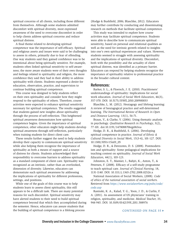spiritual concerns of all clients, including those different from themselves. Although some students admitted discomfort with spiritual diversity, most expressed awareness of the need to overcome discomfort in order to help clients address spiritual concerns and reduce spiritual distress.

A final theme related to developing spiritual competence was the importance of self-efficacy. Spiritual and religious assets and issues were said to be challenging to assess in others, primarily due to fear of offending. One way students said they gained confidence was to be intentional about being spiritually sensitive. For example, students often linked spiritual sensitivity to self-awareness; the more aware students were of their own thoughts and feelings related to spirituality and religion, the more confidence they said they had in their ability to address spirituality with clients. Students expressed a desire for education, observation, practice, and supervision to continue building spiritual competence.

This course was designed to help students reflect on their own spirituality and consider how they might respond to the spirituality of others. Therefore, course activities were expected to enhance spiritual sensitivity necessary for spiritual competence. The results suggested that students gained new insights about spirituality through the process of self-reflection. This heightened spiritual awareness demonstrates how spiritual competence begins. Given the importance of spiritual competence, other educators might help students develop spiritual awareness through self-reflection, particularly when training students for direct client care.

These results further suggest the need to help students develop their capacity to communicate spiritual sensitivity while also helping them recognize the importance of spirituality as both a means of support and a source of distress for clients. Students acknowledged their responsibility to overcome barriers to address spirituality as a standard component of client care. Spirituality was recognized as an intrinsic, rather than an overlooked, dimension of diversity. Likewise, educators can demonstrate such spiritual awareness by addressing the implications of spirituality for different professions, settings, and positions.

While one of the goals of this course was to help students learn to assess client spirituality, this still appears to be a difficult task. There are many potential reasons for such discomfort. Spiritual sensitivity may have alerted students to their need to build spiritual competence beyond that which they accomplished during the semester. Hence, educators can assure students that the building of spiritual competence is a lifelong process

(Hodge & Bushfield, 2006; Blaschke, 2012). Educators may further contribute by conducting and disseminating research on methods that facilitate spiritual competence.

This study was intended to explore how course activities may facilitate spiritual competence. Students were able to describe how to communicate spiritual sensitivity, based on personal and relational qualities as well as the need for intrinsic growth related to insights into one's own spiritual experiences and values. However, students seemed to struggle with assessing spirituality and the implications of spiritual diversity. Discomfort, both with the possibility and the actuality of client spiritual distress, was identified as a primary barrier. Educators can respond by helping students recognize the importance of spirituality relative to professional practice in the broader cultural context.

#### References:

Barker, S. L., & Floersch, J. E. (2010). Practitioners' understandings of spirituality: Implications for social work education. *Journal of Social Work Education*, 46(3), 357-370. DOI: 10.5175/JSWE.2010.200900033

Blaschke, L. M. (2012). Heutagogy and lifelong learning: A review of heutagogical practice and self-determined learning. *The International Review of Research in Open and Distance Learning.* 13(1), 56-71.

Braun, V., & Clarke, V. (2006). Using thematic analysis in psychology. *Qualitative Research in Psychology*, 3(2), 77-101. doi:10.1191/1478088706qp063oa

Hodge, D. R., & Bushfield, S. (2006). Developing spiritual competence in practice. *Journal of Ethnic & Cultural Diversity in Social Work,* 15(3-4), 101-127. DOI: 10.1300/J051v15n03\_05

Hodge, D. R., & Derezotes, D. S. (2008). Postmodernism and spirituality: Some pedagogical implications for teaching content on spirituality. *Journal of Social Work Education,* 44(1), 103-123.

Johnston, E. T., Mamier, I., Bahjri, K., Anton, T., & Petersen, F. (2008). Efficacy of a self-study programme to teach spiritual care. *Journal of Clinical Nursing,* 18, 1131-1140. DOI: 10.1111/j.1365-2702.2008.02526.x

National Association of Social Workers, (2008). *Code of ethics of the national association of social workers.* Retrieved from *[https://www.socialworkers.org/pubs/code/](https://www.socialworkers.org/pubs/code/code.asp) [code.asp](https://www.socialworkers.org/pubs/code/code.asp)*

Rasinski, K. A., Kalad, Y. G., Yoon, J. D., & Curlin, F. A. (2011). As assessment of US physicians' training in religion, spirituality, and medicine. *Medical Teacher,* 33, 944-945. DOI: 10.3109/0142159X.2011.588976

#### CONTINUED ON PAGE 35  $\rightarrow$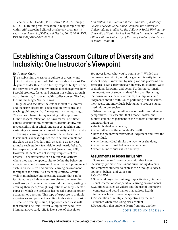Schafer, R. M., Handal, P. J., Brawer, P. A., & Ubinger, M. (2011). Training and education in religion/spirituality within APA-accredited clinical psychology programs: 8 years later. *Journal of Religion & Health,* 50, 232-239. DOI: DOI 10.1007/s10943-009-9272-8

*Ann Callahan is a lecturer at the University of Kentucky College of Social Work. Kalea Benner is the director of Undergraduate Studies for the College of Social Work at the University of Kentucky. LeeAnn Helton is a student affairs officer with the University of Kentucky Center of Excellence in Rural Health.* ■

### Establishing a Classroom Culture of Diversity and Inclusivity: One Instructor's Viewpoint

#### BY ANDREA CHUTE

I s establishing a classroom culture of diversity and inclusivity on your to-do list the first day of class? Do you consider this to be a faculty responsibility? For me, the answers are yes. But my principal challenge was how I would promote, foster, and sustain this culture throughout a first-term, first-year health studies course. Was I up for this challenge? You bet I was.

To guide and facilitate the establishment of a diverse and inclusive classroom, I reflected on my values and teaching philosophy that I wrote nearly nine years ago. The values inherent in my teaching philosophy are humor, respect, reflection, self-awareness, self-directedness, collaboration, community, accountability, and responsibility, all of which underpin establishing and sustaining a classroom culture of diversity and inclusivity.

Creating a learning environment that endorses and fosters inclusiveness requires me to set the climate for the class on the first day, and, as such, I do my best to make each student feel visible, feel heard, feel safe, feel respected, and feel connected (Armstrong, 2011). However, students are not merely recipients of this process. They participate in a Graffiti Wall activity, where they get the opportunity to define the behaviors, expectations, and classroom climate that will promote and sustain an inclusive and diverse learning environment throughout the term. As a teaching strategy, Graffiti Wall is an inclusive brainstorming activity that can be facilitated as an independent exercise or one involving small groups. Students rotate around the room, writing or drawing their ideas/thoughts/questions on large sheets of paper on which the professor has posed a specific topic/ statement or question. This type of exposure to multiple experiences and perspectives often fuels a rich discussion.

Because diversity is fluid, I approach each class with that famous line from Forrest Gump in my head: "My Momma always said, 'Life is like a box of chocolates.

You never know what you're gonna get.'" While I am not guaranteed ethnic, racial, or gender diversity in the student body, I know that by using various platforms and strategies, I can safely uncover diversity in students' ways of thinking, knowing, and being. Furthermore, I instill the importance of students identifying and discussing their own values, beliefs, attitudes, assumptions, and judgments about health issues pertaining to themselves, their peers, and individuals belonging to groups stigmatized within our society.

When discussing the influences of health from diverse perspectives, it is essential that I model, foster, and support student engagement in the process of inquiry and understanding of:

- the individual as a person,
- what influences the individual's health,
- how society may perceive/pass judgement and treat the individual,
- why the individual thinks the way he or she does,
- what the individual believes and why, and
- what the individual values and why.

#### Assignments to foster inclusivity

Some strategies I have success with that foster inclusivity, promote discussions surrounding diversity, and empower students to express their thoughts, ideas, opinions, beliefs, and values are:

- 1.Graffiti Wall
- 2.Small and large discussion/group activities (interpersonal interactions/cooperative learning environment)
- 3.Multimedia, such as videos and the use of interactive computer and board games that address health influences from diverse perspectives
- 4.Presentation of multiple perspectives by me and students when discussing class content
- 5.Recognition that students learn from one another

CONTINUED ON PAGE 36 $\rightarrow$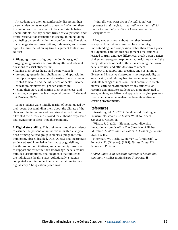As students are often uncomfortable discussing their personal viewpoints related to diversity, I often tell them it is important that they learn to be comfortable being uncomfortable, as they cannot truly achieve personal and/ or professional transformation in seeing, thinking, doing, and feeling by remaining in their comfort zone. Therefore, to challenge student assumptions, judgments, and stereotypes, I utilize the following two assignment tools in my course:

**1. Blogging:** I use small-group (randomly assigned) blogging assignments and pose thoughtful and relevant questions to assist students in:

- having their voices heard and acknowledged;
- presenting, questioning, challenging, and appreciating multiple perspectives when discussing diversity issues related to health and the influences of health (income, education, employment, gender, culture etc.);
- telling their story and sharing their experiences; and
- creating a cooperative learning environment (Dalsgaard & Paulsen, 2009).

Some students were initially fearful of being judged by their peers, but reminding them about the climate of the class and the importance of honoring diverse thinking alleviated their fears and allowed for authentic expression and ownership of ideas/thoughts/opinions.

**2. Digital storytelling:** This assignment requires students to assume the persona of an individual within a stigmatized or marginalized group (homeless, pregnant teen, immigrant, obese, disabled, LGBTQ, etc.) and incorporate evidence-based knowledge, best-practice guidelines, health promotion initiatives, and community resources to support and/or refute their knowledge, beliefs, values, attitudes, assumptions, and judgments that influence the individual's health status. Additionally, students completed a written reflective paper pertaining to their digital story. The question posed was:

*"What did you learn about the individual you portrayed and the factors that influence that individual's health that you did not know prior to this assignment?"*

Many students wrote about how they learned to approach individuals from a place of inquiry, understanding, and compassion rather than from a place of judgment. Through this assignment I feel students learned to truly embrace differences, break down barriers, challenge stereotypes, explore what health means and the many influences of health, thus transforming their own beliefs, values, and attitudes toward others.

I know that supporting, creating, and sustaining a diverse and inclusive classroom is my responsibility as an educator, and I do my best to model, mentor, and facilitate feelings of inclusion. I will continue to create diverse learning environments for my students, as research demonstrates students are more motivated to learn, achieve, socialize, and appreciate varying perspectives when educators realize the benefits of diverse learning environments.

#### References:

Armstrong, M. A. (2011). Small world: Crafting an inclusive classroom (No Matter What You Teach). *Thought & Action*, 51.

Wilson, J. L. (2011). Blogging about diversity: the academy sounds off in The Chronicle of Higher Education. *Multicultural Education & Technology Journal*, 5(2), 106-115.

Finerman, W., Tisch, S., Starkey, S. (Producers), & Zemeckis, R. (Director). (1994). *Forrest Gump*. US: Paramount Pictures

*Andrea Chute is an assistant professor of health and community studies at MacEwan University.* ■